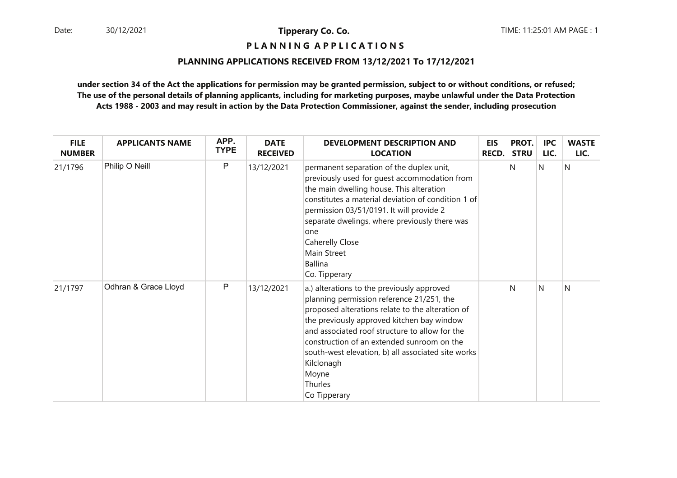**P L A N N I N G A P P L I C A T I O N S** 

#### **PLANNING APPLICATIONS RECEIVED FROM 13/12/2021 To 17/12/2021**

| <b>FILE</b><br><b>NUMBER</b> | <b>APPLICANTS NAME</b> | APP.<br><b>TYPE</b> | <b>DATE</b><br><b>RECEIVED</b> | <b>DEVELOPMENT DESCRIPTION AND</b><br><b>LOCATION</b>                                                                                                                                                                                                                                                                                                                                             | <b>EIS</b><br>RECD. | PROT.<br><b>STRU</b> | <b>IPC</b><br>LIC. | <b>WASTE</b><br>LIC. |
|------------------------------|------------------------|---------------------|--------------------------------|---------------------------------------------------------------------------------------------------------------------------------------------------------------------------------------------------------------------------------------------------------------------------------------------------------------------------------------------------------------------------------------------------|---------------------|----------------------|--------------------|----------------------|
| 21/1796                      | Philip O Neill         | $\mathsf{P}$        | 13/12/2021                     | permanent separation of the duplex unit,<br>previously used for quest accommodation from<br>the main dwelling house. This alteration<br>constitutes a material deviation of condition 1 of<br>permission 03/51/0191. It will provide 2<br>separate dwelings, where previously there was<br>one<br>Caherelly Close<br>Main Street<br><b>Ballina</b><br>Co. Tipperary                               |                     | N                    | <sup>N</sup>       | N                    |
| 21/1797                      | Odhran & Grace Lloyd   | $\mathsf{P}$        | 13/12/2021                     | a.) alterations to the previously approved<br>planning permission reference 21/251, the<br>proposed alterations relate to the alteration of<br>the previously approved kitchen bay window<br>and associated roof structure to allow for the<br>construction of an extended sunroom on the<br>south-west elevation, b) all associated site works<br>Kilclonagh<br>Moyne<br>Thurles<br>Co Tipperary |                     | N                    | N                  | N                    |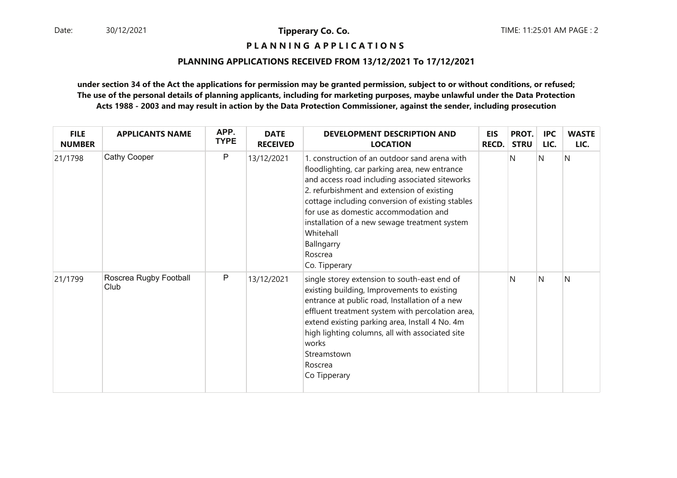**P L A N N I N G A P P L I C A T I O N S** 

#### **PLANNING APPLICATIONS RECEIVED FROM 13/12/2021 To 17/12/2021**

| <b>FILE</b><br><b>NUMBER</b> | <b>APPLICANTS NAME</b>         | APP.<br><b>TYPE</b> | <b>DATE</b><br><b>RECEIVED</b> | <b>DEVELOPMENT DESCRIPTION AND</b><br><b>LOCATION</b>                                                                                                                                                                                                                                                                                                                                               | <b>EIS</b><br><b>RECD.</b> | PROT.<br><b>STRU</b> | IPC<br>LIC. | <b>WASTE</b><br>LIC. |
|------------------------------|--------------------------------|---------------------|--------------------------------|-----------------------------------------------------------------------------------------------------------------------------------------------------------------------------------------------------------------------------------------------------------------------------------------------------------------------------------------------------------------------------------------------------|----------------------------|----------------------|-------------|----------------------|
| 21/1798                      | <b>Cathy Cooper</b>            | $\mathsf{P}$        | 13/12/2021                     | 1. construction of an outdoor sand arena with<br>floodlighting, car parking area, new entrance<br>and access road including associated siteworks<br>2. refurbishment and extension of existing<br>cottage including conversion of existing stables<br>for use as domestic accommodation and<br>installation of a new sewage treatment system<br>Whitehall<br>Ballngarry<br>Roscrea<br>Co. Tipperary |                            | N                    | N           | N                    |
| 21/1799                      | Roscrea Rugby Football<br>Club | P                   | 13/12/2021                     | single storey extension to south-east end of<br>existing building, Improvements to existing<br>entrance at public road, Installation of a new<br>effluent treatment system with percolation area,<br>extend existing parking area, Install 4 No. 4m<br>high lighting columns, all with associated site<br>works<br>Streamstown<br>Roscrea<br>Co Tipperary                                           |                            | N                    | N           | N                    |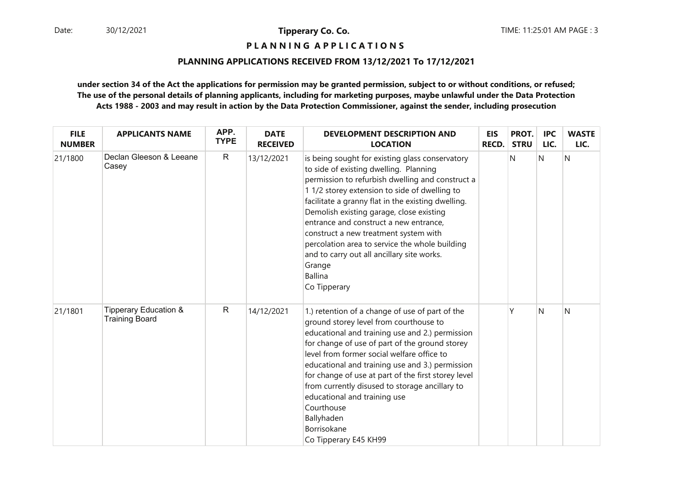# **P L A N N I N G A P P L I C A T I O N S**

#### **PLANNING APPLICATIONS RECEIVED FROM 13/12/2021 To 17/12/2021**

| <b>FILE</b><br><b>NUMBER</b> | <b>APPLICANTS NAME</b>                                    | APP.<br><b>TYPE</b> | <b>DATE</b><br><b>RECEIVED</b> | <b>DEVELOPMENT DESCRIPTION AND</b><br><b>LOCATION</b>                                                                                                                                                                                                                                                                                                                                                                                                                                                                           | <b>EIS</b><br><b>RECD.</b> | PROT.<br><b>STRU</b> | <b>IPC</b><br>LIC. | <b>WASTE</b><br>LIC. |
|------------------------------|-----------------------------------------------------------|---------------------|--------------------------------|---------------------------------------------------------------------------------------------------------------------------------------------------------------------------------------------------------------------------------------------------------------------------------------------------------------------------------------------------------------------------------------------------------------------------------------------------------------------------------------------------------------------------------|----------------------------|----------------------|--------------------|----------------------|
| 21/1800                      | Declan Gleeson & Leeane<br>Casey                          | $\mathsf{R}$        | 13/12/2021                     | is being sought for existing glass conservatory<br>to side of existing dwelling. Planning<br>permission to refurbish dwelling and construct a<br>1 1/2 storey extension to side of dwelling to<br>facilitate a granny flat in the existing dwelling.<br>Demolish existing garage, close existing<br>entrance and construct a new entrance,<br>construct a new treatment system with<br>percolation area to service the whole building<br>and to carry out all ancillary site works.<br>Grange<br><b>Ballina</b><br>Co Tipperary |                            | N                    | N                  | $\overline{N}$       |
| 21/1801                      | <b>Tipperary Education &amp;</b><br><b>Training Board</b> | $\mathsf{R}$        | 14/12/2021                     | 1.) retention of a change of use of part of the<br>ground storey level from courthouse to<br>educational and training use and 2.) permission<br>for change of use of part of the ground storey<br>level from former social welfare office to<br>educational and training use and 3.) permission<br>for change of use at part of the first storey level<br>from currently disused to storage ancillary to<br>educational and training use<br>Courthouse<br>Ballyhaden<br>Borrisokane<br>Co Tipperary E45 KH99                    |                            |                      | N                  | N                    |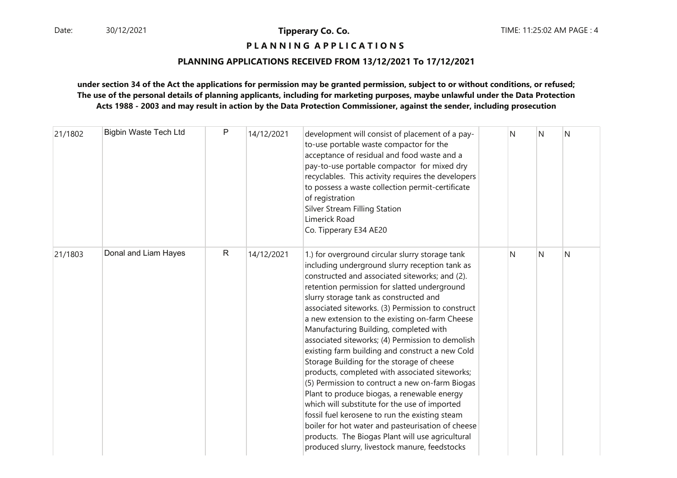# **P L A N N I N G A P P L I C A T I O N S**

#### **PLANNING APPLICATIONS RECEIVED FROM 13/12/2021 To 17/12/2021**

| 21/1802 | <b>Bigbin Waste Tech Ltd</b> | P            | 14/12/2021 | development will consist of placement of a pay-<br>to-use portable waste compactor for the<br>acceptance of residual and food waste and a<br>pay-to-use portable compactor for mixed dry<br>recyclables. This activity requires the developers<br>to possess a waste collection permit-certificate<br>of registration<br>Silver Stream Filling Station<br>Limerick Road<br>Co. Tipperary E34 AE20                                                                                                                                                                                                                                                                                                                                                                                                                                                                                                                                                                    | N | N | N |
|---------|------------------------------|--------------|------------|----------------------------------------------------------------------------------------------------------------------------------------------------------------------------------------------------------------------------------------------------------------------------------------------------------------------------------------------------------------------------------------------------------------------------------------------------------------------------------------------------------------------------------------------------------------------------------------------------------------------------------------------------------------------------------------------------------------------------------------------------------------------------------------------------------------------------------------------------------------------------------------------------------------------------------------------------------------------|---|---|---|
| 21/1803 | Donal and Liam Hayes         | $\mathsf{R}$ | 14/12/2021 | 1.) for overground circular slurry storage tank<br>including underground slurry reception tank as<br>constructed and associated siteworks; and (2).<br>retention permission for slatted underground<br>slurry storage tank as constructed and<br>associated siteworks. (3) Permission to construct<br>a new extension to the existing on-farm Cheese<br>Manufacturing Building, completed with<br>associated siteworks; (4) Permission to demolish<br>existing farm building and construct a new Cold<br>Storage Building for the storage of cheese<br>products, completed with associated siteworks;<br>(5) Permission to contruct a new on-farm Biogas<br>Plant to produce biogas, a renewable energy<br>which will substitute for the use of imported<br>fossil fuel kerosene to run the existing steam<br>boiler for hot water and pasteurisation of cheese<br>products. The Biogas Plant will use agricultural<br>produced slurry, livestock manure, feedstocks | N | N | Ν |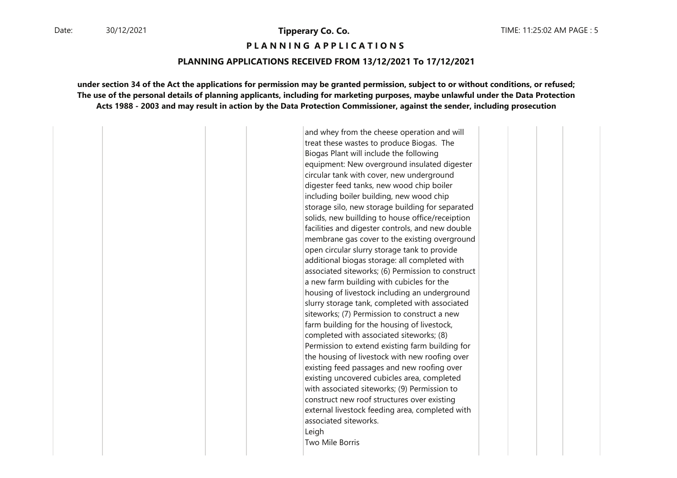**P L A N N I N G A P P L I C A T I O N S** 

#### **PLANNING APPLICATIONS RECEIVED FROM 13/12/2021 To 17/12/2021**

**under section 34 of the Act the applications for permission may be granted permission, subject to or without conditions, or refused;The use of the personal details of planning applicants, including for marketing purposes, maybe unlawful under the Data ProtectionActs 1988 - 2003 and may result in action by the Data Protection Commissioner, against the sender, including prosecution**

> and whey from the cheese operation and will treat these wastes to produce Biogas. The Biogas Plant will include the following equipment: New overground insulated digester circular tank with cover, new underground digester feed tanks, new wood chip boiler including boiler building, new wood chip storage silo, new storage building for separated solids, new buillding to house office/receiption facilities and digester controls, and new double membrane gas cover to the existing overground open circular slurry storage tank to provide additional biogas storage: all completed with associated siteworks; (6) Permission to construct a new farm building with cubicles for the housing of livestock including an underground slurry storage tank, completed with associated siteworks; (7) Permission to construct a new farm building for the housing of livestock, completed with associated siteworks; (8) Permission to extend existing farm building for the housing of livestock with new roofing over existing feed passages and new roofing over existing uncovered cubicles area, completed with associated siteworks; (9) Permission to construct new roof structures over existing external livestock feeding area, completed with associated siteworks.LeighTwo Mile Borris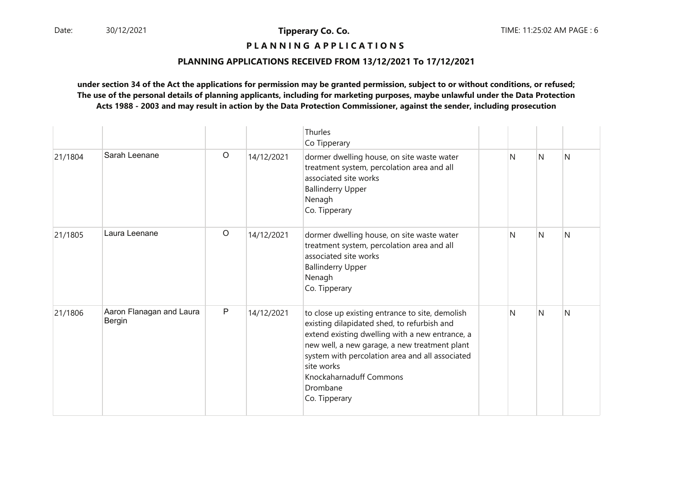# **P L A N N I N G A P P L I C A T I O N S**

#### **PLANNING APPLICATIONS RECEIVED FROM 13/12/2021 To 17/12/2021**

|         |                                           |              |            | Thurles<br>Co Tipperary                                                                                                                                                                                                                                                                                                     |   |   |   |
|---------|-------------------------------------------|--------------|------------|-----------------------------------------------------------------------------------------------------------------------------------------------------------------------------------------------------------------------------------------------------------------------------------------------------------------------------|---|---|---|
| 21/1804 | Sarah Leenane                             | $\circ$      | 14/12/2021 | dormer dwelling house, on site waste water<br>treatment system, percolation area and all<br>associated site works<br><b>Ballinderry Upper</b><br>Nenagh<br>Co. Tipperary                                                                                                                                                    | N | N | N |
| 21/1805 | Laura Leenane                             | $\circ$      | 14/12/2021 | dormer dwelling house, on site waste water<br>treatment system, percolation area and all<br>associated site works<br><b>Ballinderry Upper</b><br>Nenagh<br>Co. Tipperary                                                                                                                                                    | N | N | N |
| 21/1806 | Aaron Flanagan and Laura<br><b>Bergin</b> | $\mathsf{P}$ | 14/12/2021 | to close up existing entrance to site, demolish<br>existing dilapidated shed, to refurbish and<br>extend existing dwelling with a new entrance, a<br>new well, a new garage, a new treatment plant<br>system with percolation area and all associated<br>site works<br>Knockaharnaduff Commons<br>Drombane<br>Co. Tipperary | N | N | N |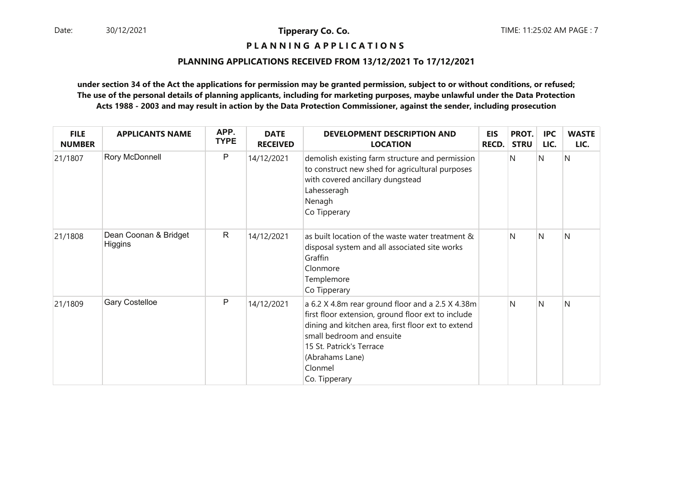# **P L A N N I N G A P P L I C A T I O N S**

#### **PLANNING APPLICATIONS RECEIVED FROM 13/12/2021 To 17/12/2021**

| <b>FILE</b><br><b>NUMBER</b> | <b>APPLICANTS NAME</b>           | APP.<br><b>TYPE</b> | <b>DATE</b><br><b>RECEIVED</b> | <b>DEVELOPMENT DESCRIPTION AND</b><br><b>LOCATION</b>                                                                                                                                                                                                                | <b>EIS</b><br><b>RECD.</b> | PROT.<br><b>STRU</b> | <b>IPC</b><br>LIC. | <b>WASTE</b><br>LIC. |
|------------------------------|----------------------------------|---------------------|--------------------------------|----------------------------------------------------------------------------------------------------------------------------------------------------------------------------------------------------------------------------------------------------------------------|----------------------------|----------------------|--------------------|----------------------|
| 21/1807                      | Rory McDonnell                   | P                   | 14/12/2021                     | demolish existing farm structure and permission<br>to construct new shed for agricultural purposes<br>with covered ancillary dungstead<br>Lahesseragh<br>Nenagh<br>Co Tipperary                                                                                      |                            | N                    | N                  | N                    |
| 21/1808                      | Dean Coonan & Bridget<br>Higgins | $\mathsf{R}$        | 14/12/2021                     | as built location of the waste water treatment &<br>disposal system and all associated site works<br>Graffin<br>Clonmore<br>Templemore<br>Co Tipperary                                                                                                               |                            | N                    | N                  | N                    |
| 21/1809                      | <b>Gary Costelloe</b>            | $\mathsf{P}$        | 14/12/2021                     | a 6.2 X 4.8m rear ground floor and a 2.5 X 4.38m<br>first floor extension, ground floor ext to include<br>dining and kitchen area, first floor ext to extend<br>small bedroom and ensuite<br>15 St. Patrick's Terrace<br>(Abrahams Lane)<br>Clonmel<br>Co. Tipperary |                            | N                    | $\mathsf{N}$       | N                    |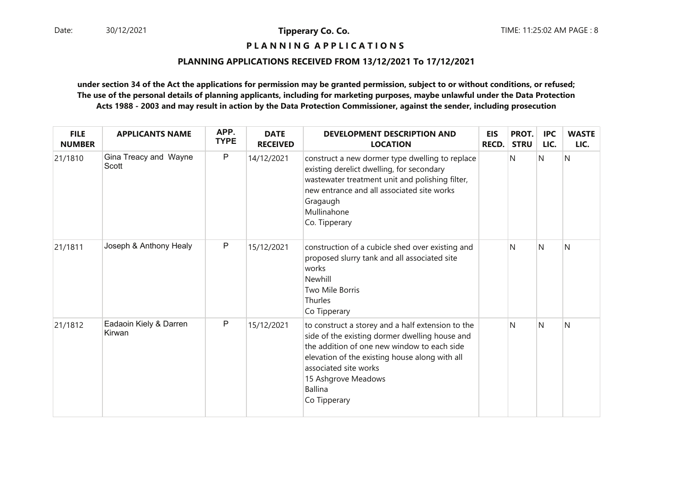# **P L A N N I N G A P P L I C A T I O N S**

#### **PLANNING APPLICATIONS RECEIVED FROM 13/12/2021 To 17/12/2021**

| <b>FILE</b><br><b>NUMBER</b> | <b>APPLICANTS NAME</b>           | APP.<br><b>TYPE</b> | <b>DATE</b><br><b>RECEIVED</b> | <b>DEVELOPMENT DESCRIPTION AND</b><br><b>LOCATION</b>                                                                                                                                                                                                                                  | <b>EIS</b><br>RECD. | PROT.<br><b>STRU</b> | <b>IPC</b><br>LIC. | <b>WASTE</b><br>LIC. |
|------------------------------|----------------------------------|---------------------|--------------------------------|----------------------------------------------------------------------------------------------------------------------------------------------------------------------------------------------------------------------------------------------------------------------------------------|---------------------|----------------------|--------------------|----------------------|
| 21/1810                      | Gina Treacy and Wayne<br>Scott   | $\mathsf{P}$        | 14/12/2021                     | construct a new dormer type dwelling to replace<br>existing derelict dwelling, for secondary<br>wastewater treatment unit and polishing filter,<br>new entrance and all associated site works<br>Gragaugh<br>Mullinahone<br>Co. Tipperary                                              |                     | N                    | $\mathsf{N}$       | N                    |
| 21/1811                      | Joseph & Anthony Healy           | $\mathsf{P}$        | 15/12/2021                     | construction of a cubicle shed over existing and<br>proposed slurry tank and all associated site<br>works<br>Newhill<br><b>Two Mile Borris</b><br>Thurles<br>Co Tipperary                                                                                                              |                     | N                    | N                  | N                    |
| 21/1812                      | Eadaoin Kiely & Darren<br>Kirwan | ${\sf P}$           | 15/12/2021                     | to construct a storey and a half extension to the<br>side of the existing dormer dwelling house and<br>the addition of one new window to each side<br>elevation of the existing house along with all<br>associated site works<br>15 Ashgrove Meadows<br><b>Ballina</b><br>Co Tipperary |                     | N                    | N                  | N                    |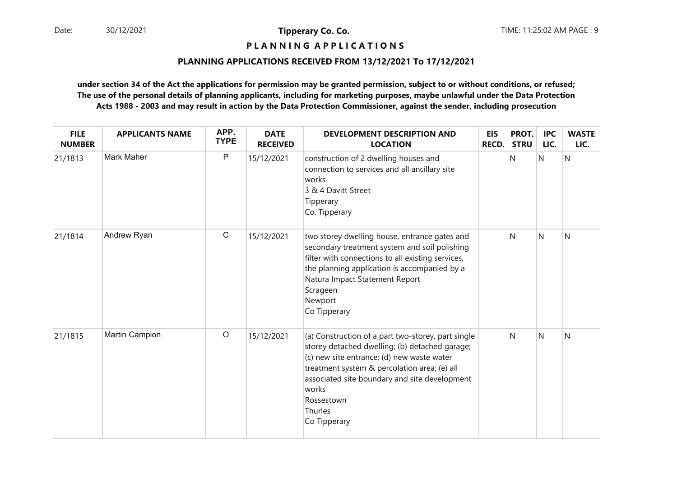# **P L A N N I N G A P P L I C A T I O N S**

#### **PLANNING APPLICATIONS RECEIVED FROM 13/12/2021 To 17/12/2021**

| <b>FILE</b><br><b>NUMBER</b> | <b>APPLICANTS NAME</b> | APP.<br><b>TYPE</b> | <b>DATE</b><br><b>RECEIVED</b> | <b>DEVELOPMENT DESCRIPTION AND</b><br><b>LOCATION</b>                                                                                                                                                                                                                                                 | <b>EIS</b><br><b>RECD.</b> | PROT.<br><b>STRU</b> | <b>IPC</b><br>LIC. | <b>WASTE</b><br>LIC. |
|------------------------------|------------------------|---------------------|--------------------------------|-------------------------------------------------------------------------------------------------------------------------------------------------------------------------------------------------------------------------------------------------------------------------------------------------------|----------------------------|----------------------|--------------------|----------------------|
| 21/1813                      | Mark Maher             | $\mathsf{P}$        | 15/12/2021                     | construction of 2 dwelling houses and<br>connection to services and all ancillary site<br>works<br>3 & 4 Davitt Street<br>Tipperary<br>Co. Tipperary                                                                                                                                                  |                            | N                    | N                  | N                    |
| 21/1814                      | Andrew Ryan            | $\mathsf C$         | 15/12/2021                     | two storey dwelling house, entrance gates and<br>secondary treatment system and soil polishing<br>filter with connections to all existing services,<br>the planning application is accompanied by a<br>Natura Impact Statement Report<br>Scrageen<br>Newport<br>Co Tipperary                          |                            | N                    | N                  | N                    |
| 21/1815                      | Martin Campion         | $\circ$             | 15/12/2021                     | (a) Construction of a part two-storey, part single<br>storey detached dwelling; (b) detached garage;<br>(c) new site entrance; (d) new waste water<br>treatment system & percolation area; (e) all<br>associated site boundary and site development<br>works<br>Rossestown<br>Thurles<br>Co Tipperary |                            | N                    | N                  | N                    |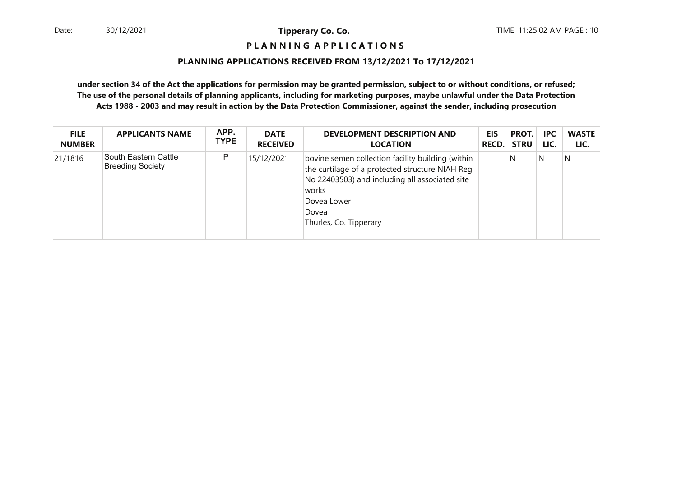# **P L A N N I N G A P P L I C A T I O N S**

#### **PLANNING APPLICATIONS RECEIVED FROM 13/12/2021 To 17/12/2021**

| <b>FILE</b>   | <b>APPLICANTS NAME</b>                          | APP.        | <b>DATE</b>     | DEVELOPMENT DESCRIPTION AND                                                                                                                                                                                       | EIS   | PROT.       | <b>IPC</b> | <b>WASTE</b> |
|---------------|-------------------------------------------------|-------------|-----------------|-------------------------------------------------------------------------------------------------------------------------------------------------------------------------------------------------------------------|-------|-------------|------------|--------------|
| <b>NUMBER</b> |                                                 | <b>TYPE</b> | <b>RECEIVED</b> | <b>LOCATION</b>                                                                                                                                                                                                   | RECD. | <b>STRU</b> | LIC.       | LIC.         |
| 21/1816       | South Eastern Cattle<br><b>Breeding Society</b> | P           | 15/12/2021      | bovine semen collection facility building (within<br>the curtilage of a protected structure NIAH Reg<br>No 22403503) and including all associated site<br>works<br>Dovea Lower<br>Dovea<br>Thurles, Co. Tipperary |       | N           | N          | N            |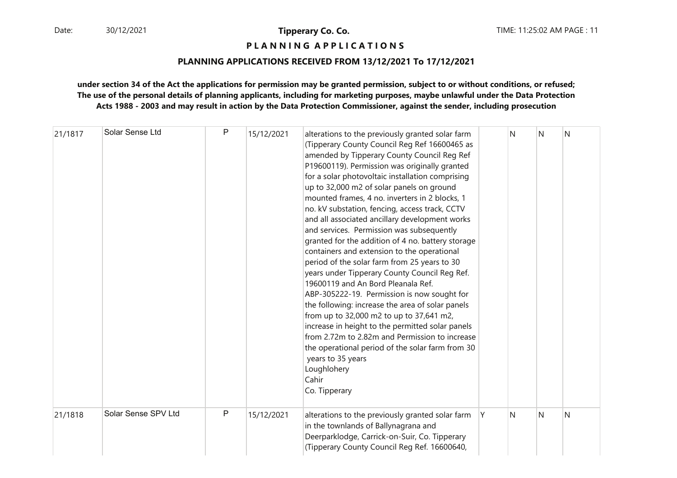# **P L A N N I N G A P P L I C A T I O N S**

#### **PLANNING APPLICATIONS RECEIVED FROM 13/12/2021 To 17/12/2021**

| 21/1817 | Solar Sense Ltd     | P            | 15/12/2021 | alterations to the previously granted solar farm<br>(Tipperary County Council Reg Ref 16600465 as<br>amended by Tipperary County Council Reg Ref<br>P19600119). Permission was originally granted<br>for a solar photovoltaic installation comprising<br>up to 32,000 m2 of solar panels on ground<br>mounted frames, 4 no. inverters in 2 blocks, 1<br>no. kV substation, fencing, access track, CCTV<br>and all associated ancillary development works<br>and services. Permission was subsequently<br>granted for the addition of 4 no. battery storage<br>containers and extension to the operational<br>period of the solar farm from 25 years to 30<br>years under Tipperary County Council Reg Ref.<br>19600119 and An Bord Pleanala Ref.<br>ABP-305222-19. Permission is now sought for<br>the following: increase the area of solar panels<br>from up to 32,000 m2 to up to 37,641 m2,<br>increase in height to the permitted solar panels<br>from 2.72m to 2.82m and Permission to increase<br>the operational period of the solar farm from 30<br>years to 35 years<br>Loughlohery<br>Cahir<br>Co. Tipperary |    | N | N | N |
|---------|---------------------|--------------|------------|-------------------------------------------------------------------------------------------------------------------------------------------------------------------------------------------------------------------------------------------------------------------------------------------------------------------------------------------------------------------------------------------------------------------------------------------------------------------------------------------------------------------------------------------------------------------------------------------------------------------------------------------------------------------------------------------------------------------------------------------------------------------------------------------------------------------------------------------------------------------------------------------------------------------------------------------------------------------------------------------------------------------------------------------------------------------------------------------------------------------------|----|---|---|---|
| 21/1818 | Solar Sense SPV Ltd | $\mathsf{P}$ | 15/12/2021 | alterations to the previously granted solar farm<br>in the townlands of Ballynagrana and<br>Deerparklodge, Carrick-on-Suir, Co. Tipperary<br>(Tipperary County Council Reg Ref. 16600640,                                                                                                                                                                                                                                                                                                                                                                                                                                                                                                                                                                                                                                                                                                                                                                                                                                                                                                                               | ΙY | N | N | N |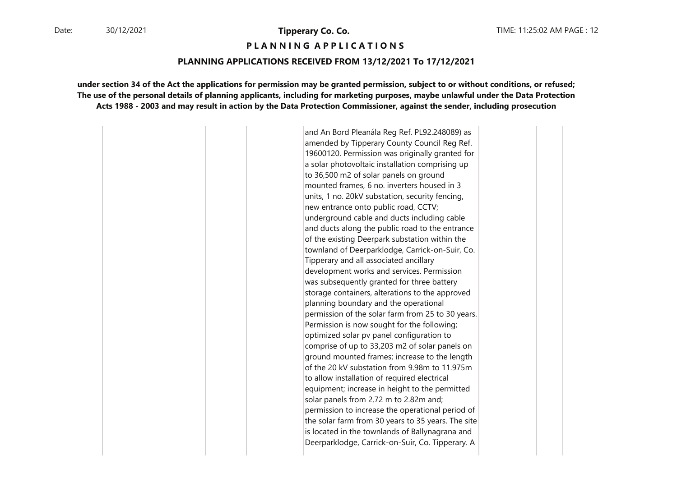#### **P L A N N I N G A P P L I C A T I O N S**

#### **PLANNING APPLICATIONS RECEIVED FROM 13/12/2021 To 17/12/2021**

**under section 34 of the Act the applications for permission may be granted permission, subject to or without conditions, or refused;The use of the personal details of planning applicants, including for marketing purposes, maybe unlawful under the Data ProtectionActs 1988 - 2003 and may result in action by the Data Protection Commissioner, against the sender, including prosecution**

> and An Bord Pleanála Reg Ref. PL92.248089) as amended by Tipperary County Council Reg Ref. 19600120. Permission was originally granted for a solar photovoltaic installation comprising up to 36,500 m2 of solar panels on ground mounted frames, 6 no. inverters housed in 3 units, 1 no. 20kV substation, security fencing, new entrance onto public road, CCTV; underground cable and ducts including cable and ducts along the public road to the entrance of the existing Deerpark substation within the townland of Deerparklodge, Carrick-on-Suir, Co. Tipperary and all associated ancillary development works and services. Permission was subsequently granted for three battery storage containers, alterations to the approved planning boundary and the operational permission of the solar farm from 25 to 30 years. Permission is now sought for the following; optimized solar pv panel configuration to comprise of up to 33,203 m2 of solar panels on ground mounted frames; increase to the length of the 20 kV substation from 9.98m to 11.975m to allow installation of required electrical equipment; increase in height to the permitted solar panels from 2.72 m to 2.82m and; permission to increase the operational period of the solar farm from 30 years to 35 years. The site is located in the townlands of Ballynagrana and Deerparklodge, Carrick-on-Suir, Co. Tipperary. A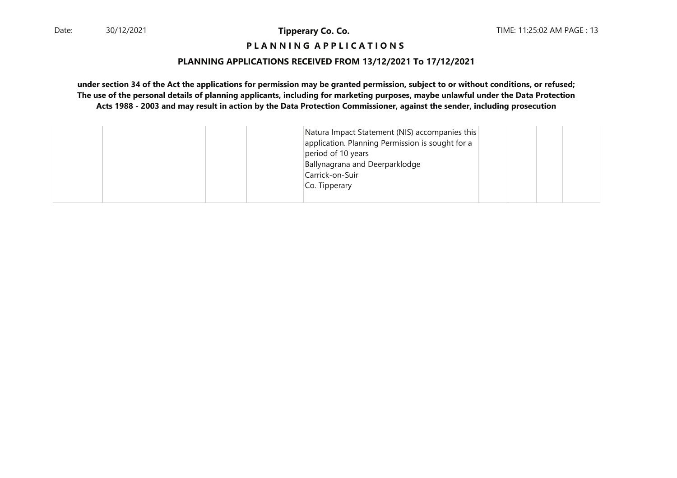# **P L A N N I N G A P P L I C A T I O N S**

#### **PLANNING APPLICATIONS RECEIVED FROM 13/12/2021 To 17/12/2021**

|  | Natura Impact Statement (NIS) accompanies this<br>application. Planning Permission is sought for a<br>period of 10 years<br>Ballynagrana and Deerparklodge<br>Carrick-on-Suir<br>Co. Tipperary |
|--|------------------------------------------------------------------------------------------------------------------------------------------------------------------------------------------------|
|--|------------------------------------------------------------------------------------------------------------------------------------------------------------------------------------------------|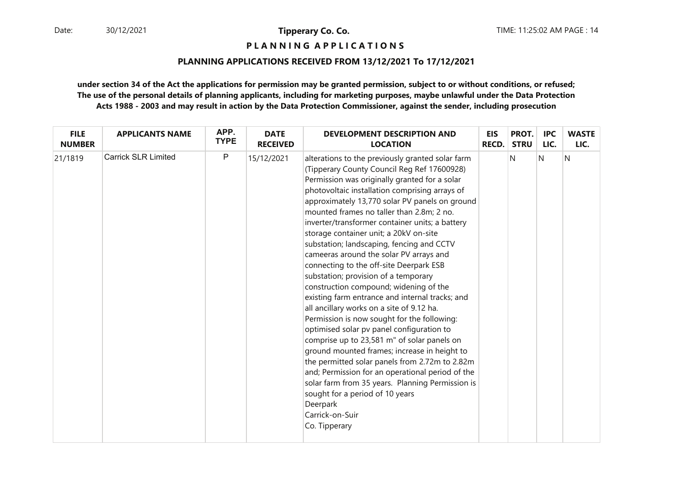# **P L A N N I N G A P P L I C A T I O N S**

#### **PLANNING APPLICATIONS RECEIVED FROM 13/12/2021 To 17/12/2021**

| <b>FILE</b>   | <b>APPLICANTS NAME</b>     | APP.        | <b>DATE</b>     | <b>DEVELOPMENT DESCRIPTION AND</b>                                                                                                                                                                                                                                                                                                                                                                                                                                                                                                                                                                                                                                                                                                                                                                                                                                                                                                                                                                                                                                                                                                                          | <b>EIS</b>   | PROT.       | <b>IPC</b> | <b>WASTE</b> |
|---------------|----------------------------|-------------|-----------------|-------------------------------------------------------------------------------------------------------------------------------------------------------------------------------------------------------------------------------------------------------------------------------------------------------------------------------------------------------------------------------------------------------------------------------------------------------------------------------------------------------------------------------------------------------------------------------------------------------------------------------------------------------------------------------------------------------------------------------------------------------------------------------------------------------------------------------------------------------------------------------------------------------------------------------------------------------------------------------------------------------------------------------------------------------------------------------------------------------------------------------------------------------------|--------------|-------------|------------|--------------|
| <b>NUMBER</b> |                            | <b>TYPE</b> | <b>RECEIVED</b> | <b>LOCATION</b>                                                                                                                                                                                                                                                                                                                                                                                                                                                                                                                                                                                                                                                                                                                                                                                                                                                                                                                                                                                                                                                                                                                                             | <b>RECD.</b> | <b>STRU</b> | LIC.       | LIC.         |
| 21/1819       | <b>Carrick SLR Limited</b> | P           | 15/12/2021      | alterations to the previously granted solar farm<br>(Tipperary County Council Reg Ref 17600928)<br>Permission was originally granted for a solar<br>photovoltaic installation comprising arrays of<br>approximately 13,770 solar PV panels on ground<br>mounted frames no taller than 2.8m; 2 no.<br>inverter/transformer container units; a battery<br>storage container unit; a 20kV on-site<br>substation; landscaping, fencing and CCTV<br>cameeras around the solar PV arrays and<br>connecting to the off-site Deerpark ESB<br>substation; provision of a temporary<br>construction compound; widening of the<br>existing farm entrance and internal tracks; and<br>all ancillary works on a site of 9.12 ha.<br>Permission is now sought for the following:<br>optimised solar pv panel configuration to<br>comprise up to 23,581 m" of solar panels on<br>ground mounted frames; increase in height to<br>the permitted solar panels from 2.72m to 2.82m<br>and; Permission for an operational period of the<br>solar farm from 35 years. Planning Permission is<br>sought for a period of 10 years<br>Deerpark<br>Carrick-on-Suir<br>Co. Tipperary |              | N           | N          | Ν            |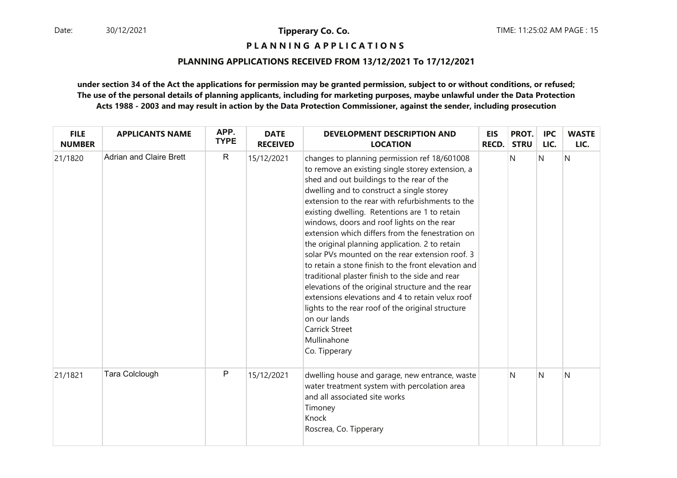# **P L A N N I N G A P P L I C A T I O N S**

#### **PLANNING APPLICATIONS RECEIVED FROM 13/12/2021 To 17/12/2021**

| <b>FILE</b><br><b>NUMBER</b> | <b>APPLICANTS NAME</b>         | APP.<br><b>TYPE</b> | <b>DATE</b><br><b>RECEIVED</b> | <b>DEVELOPMENT DESCRIPTION AND</b><br><b>LOCATION</b>                                                                                                                                                                                                                                                                                                                                                                                                                                                                                                                                                                                                                                                                                                                                                                                                   | <b>EIS</b><br><b>RECD.</b> | PROT.<br><b>STRU</b> | <b>IPC</b><br>LIC. | <b>WASTE</b><br>LIC. |
|------------------------------|--------------------------------|---------------------|--------------------------------|---------------------------------------------------------------------------------------------------------------------------------------------------------------------------------------------------------------------------------------------------------------------------------------------------------------------------------------------------------------------------------------------------------------------------------------------------------------------------------------------------------------------------------------------------------------------------------------------------------------------------------------------------------------------------------------------------------------------------------------------------------------------------------------------------------------------------------------------------------|----------------------------|----------------------|--------------------|----------------------|
| 21/1820                      | <b>Adrian and Claire Brett</b> | $\mathsf{R}$        | 15/12/2021                     | changes to planning permission ref 18/601008<br>to remove an existing single storey extension, a<br>shed and out buildings to the rear of the<br>dwelling and to construct a single storey<br>extension to the rear with refurbishments to the<br>existing dwelling. Retentions are 1 to retain<br>windows, doors and roof lights on the rear<br>extension which differs from the fenestration on<br>the original planning application. 2 to retain<br>solar PVs mounted on the rear extension roof. 3<br>to retain a stone finish to the front elevation and<br>traditional plaster finish to the side and rear<br>elevations of the original structure and the rear<br>extensions elevations and 4 to retain velux roof<br>lights to the rear roof of the original structure<br>on our lands<br><b>Carrick Street</b><br>Mullinahone<br>Co. Tipperary |                            | N                    | N                  | N                    |
| 21/1821                      | Tara Colclough                 | P                   | 15/12/2021                     | dwelling house and garage, new entrance, waste<br>water treatment system with percolation area<br>and all associated site works<br>Timoney<br>Knock<br>Roscrea, Co. Tipperary                                                                                                                                                                                                                                                                                                                                                                                                                                                                                                                                                                                                                                                                           |                            | N                    | N                  | N                    |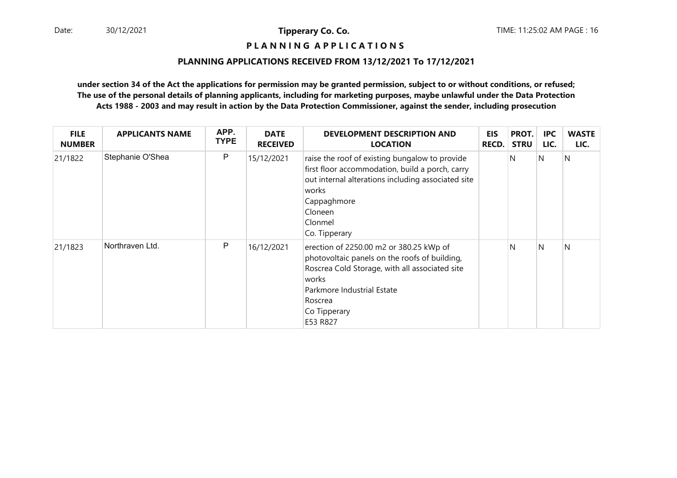# **P L A N N I N G A P P L I C A T I O N S**

#### **PLANNING APPLICATIONS RECEIVED FROM 13/12/2021 To 17/12/2021**

| <b>FILE</b><br><b>NUMBER</b> | <b>APPLICANTS NAME</b> | APP.<br><b>TYPE</b> | <b>DATE</b><br><b>RECEIVED</b> | <b>DEVELOPMENT DESCRIPTION AND</b><br><b>LOCATION</b>                                                                                                                                                                    | <b>EIS</b><br><b>RECD.</b> | PROT.<br><b>STRU</b> | <b>IPC</b><br>LIC. | <b>WASTE</b><br>LIC. |
|------------------------------|------------------------|---------------------|--------------------------------|--------------------------------------------------------------------------------------------------------------------------------------------------------------------------------------------------------------------------|----------------------------|----------------------|--------------------|----------------------|
| 21/1822                      | Stephanie O'Shea       | P                   | 15/12/2021                     | raise the roof of existing bungalow to provide<br>first floor accommodation, build a porch, carry<br>out internal alterations including associated site<br>works<br>Cappaghmore<br>Cloneen<br>Clonmel<br>Co. Tipperary   |                            | N                    | IN.                | N                    |
| 21/1823                      | Northraven Ltd.        | P                   | 16/12/2021                     | erection of 2250.00 m2 or 380.25 kWp of<br>photovoltaic panels on the roofs of building,<br>Roscrea Cold Storage, with all associated site<br>works<br>Parkmore Industrial Estate<br>Roscrea<br>Co Tipperary<br>E53 R827 |                            | N                    | N                  | N                    |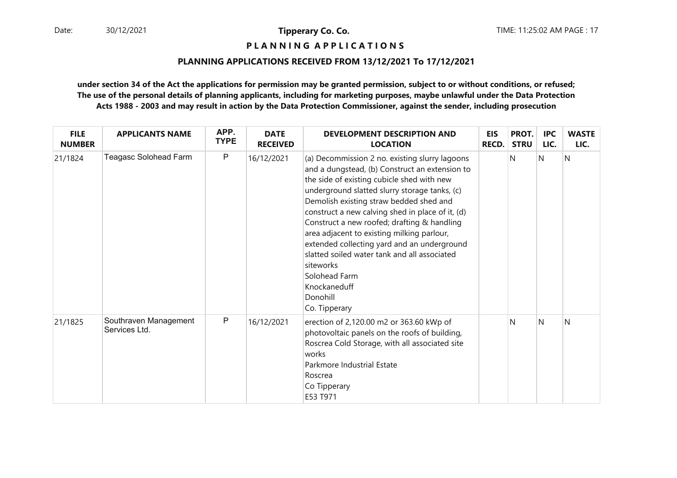# **P L A N N I N G A P P L I C A T I O N S**

#### **PLANNING APPLICATIONS RECEIVED FROM 13/12/2021 To 17/12/2021**

| <b>FILE</b><br><b>NUMBER</b> | <b>APPLICANTS NAME</b>                 | APP.<br><b>TYPE</b> | <b>DATE</b><br><b>RECEIVED</b> | <b>DEVELOPMENT DESCRIPTION AND</b><br><b>LOCATION</b>                                                                                                                                                                                                                                                                                                                                                                                                                                                                                                                 | <b>EIS</b><br><b>RECD.</b> | PROT.<br><b>STRU</b> | <b>IPC</b><br>LIC. | <b>WASTE</b><br>LIC. |
|------------------------------|----------------------------------------|---------------------|--------------------------------|-----------------------------------------------------------------------------------------------------------------------------------------------------------------------------------------------------------------------------------------------------------------------------------------------------------------------------------------------------------------------------------------------------------------------------------------------------------------------------------------------------------------------------------------------------------------------|----------------------------|----------------------|--------------------|----------------------|
| 21/1824                      | Teagasc Solohead Farm                  | $\mathsf{P}$        | 16/12/2021                     | (a) Decommission 2 no. existing slurry lagoons<br>and a dungstead, (b) Construct an extension to<br>the side of existing cubicle shed with new<br>underground slatted slurry storage tanks, (c)<br>Demolish existing straw bedded shed and<br>construct a new calving shed in place of it, (d)<br>Construct a new roofed; drafting & handling<br>area adjacent to existing milking parlour,<br>extended collecting yard and an underground<br>slatted soiled water tank and all associated<br>siteworks<br>Solohead Farm<br>Knockaneduff<br>Donohill<br>Co. Tipperary |                            | N                    | N                  | N                    |
| 21/1825                      | Southraven Management<br>Services Ltd. | P                   | 16/12/2021                     | erection of 2,120.00 m2 or 363.60 kWp of<br>photovoltaic panels on the roofs of building,<br>Roscrea Cold Storage, with all associated site<br>works<br>Parkmore Industrial Estate<br>Roscrea<br>Co Tipperary<br>E53 T971                                                                                                                                                                                                                                                                                                                                             |                            | N                    | N                  | N                    |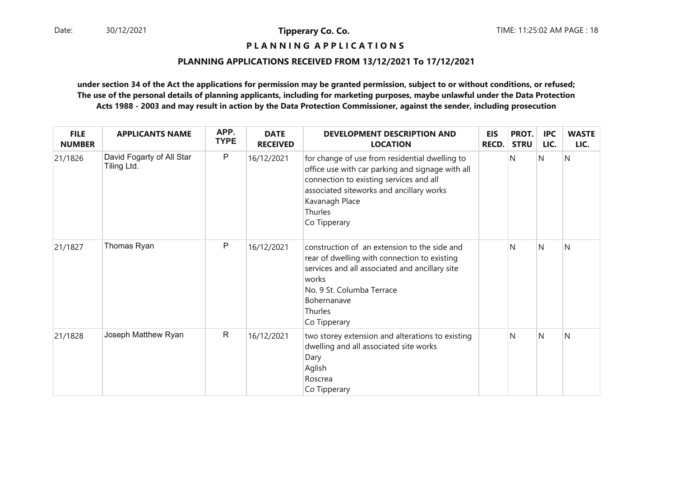# **P L A N N I N G A P P L I C A T I O N S**

#### **PLANNING APPLICATIONS RECEIVED FROM 13/12/2021 To 17/12/2021**

| <b>FILE</b><br><b>NUMBER</b> | <b>APPLICANTS NAME</b>                   | APP.<br><b>TYPE</b> | <b>DATE</b><br><b>RECEIVED</b> | <b>DEVELOPMENT DESCRIPTION AND</b><br><b>LOCATION</b>                                                                                                                                                                                  | <b>EIS</b><br><b>RECD.</b> | PROT.<br><b>STRU</b> | <b>IPC</b><br>LIC. | <b>WASTE</b><br>LIC. |
|------------------------------|------------------------------------------|---------------------|--------------------------------|----------------------------------------------------------------------------------------------------------------------------------------------------------------------------------------------------------------------------------------|----------------------------|----------------------|--------------------|----------------------|
| 21/1826                      | David Fogarty of All Star<br>Tiling Ltd. | P                   | 16/12/2021                     | for change of use from residential dwelling to<br>office use with car parking and signage with all<br>connection to existing services and all<br>associated siteworks and ancillary works<br>Kavanagh Place<br>Thurles<br>Co Tipperary |                            | N                    | <sup>N</sup>       | N                    |
| 21/1827                      | Thomas Ryan                              | P                   | 16/12/2021                     | construction of an extension to the side and<br>rear of dwelling with connection to existing<br>services and all associated and ancillary site<br>works<br>No. 9 St. Columba Terrace<br>Bohernanave<br>Thurles<br>Co Tipperary         |                            | N                    | $\mathsf{N}$       | N                    |
| 21/1828                      | Joseph Matthew Ryan                      | $\mathsf{R}$        | 16/12/2021                     | two storey extension and alterations to existing<br>dwelling and all associated site works<br>Dary<br>Aglish<br>Roscrea<br>Co Tipperary                                                                                                |                            | N                    | $\mathsf{N}$       | N                    |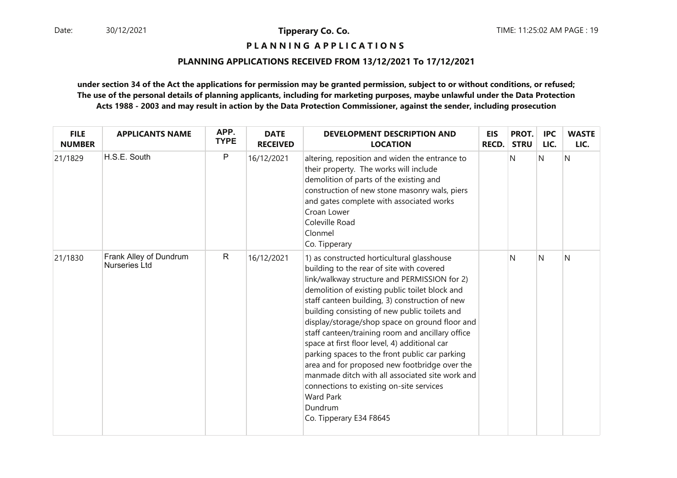# **P L A N N I N G A P P L I C A T I O N S**

#### **PLANNING APPLICATIONS RECEIVED FROM 13/12/2021 To 17/12/2021**

| <b>FILE</b><br><b>NUMBER</b> | <b>APPLICANTS NAME</b>                         | APP.<br><b>TYPE</b> | <b>DATE</b><br><b>RECEIVED</b> | <b>DEVELOPMENT DESCRIPTION AND</b><br><b>LOCATION</b>                                                                                                                                                                                                                                                                                                                                                                                                                                                                                                                                                                                                                                                           | <b>EIS</b><br><b>RECD.</b> | PROT.<br><b>STRU</b> | <b>IPC</b><br>LIC. | <b>WASTE</b><br>LIC. |
|------------------------------|------------------------------------------------|---------------------|--------------------------------|-----------------------------------------------------------------------------------------------------------------------------------------------------------------------------------------------------------------------------------------------------------------------------------------------------------------------------------------------------------------------------------------------------------------------------------------------------------------------------------------------------------------------------------------------------------------------------------------------------------------------------------------------------------------------------------------------------------------|----------------------------|----------------------|--------------------|----------------------|
| 21/1829                      | H.S.E. South                                   | $\mathsf{P}$        | 16/12/2021                     | altering, reposition and widen the entrance to<br>their property. The works will include<br>demolition of parts of the existing and<br>construction of new stone masonry wals, piers<br>and gates complete with associated works<br>Croan Lower<br>Coleville Road<br>Clonmel<br>Co. Tipperary                                                                                                                                                                                                                                                                                                                                                                                                                   |                            | N                    | N                  | N                    |
| 21/1830                      | Frank Alley of Dundrum<br><b>Nurseries Ltd</b> | $\mathsf{R}$        | 16/12/2021                     | 1) as constructed horticultural glasshouse<br>building to the rear of site with covered<br>link/walkway structure and PERMISSION for 2)<br>demolition of existing public toilet block and<br>staff canteen building, 3) construction of new<br>building consisting of new public toilets and<br>display/storage/shop space on ground floor and<br>staff canteen/training room and ancillary office<br>space at first floor level, 4) additional car<br>parking spaces to the front public car parking<br>area and for proposed new footbridge over the<br>manmade ditch with all associated site work and<br>connections to existing on-site services<br><b>Ward Park</b><br>Dundrum<br>Co. Tipperary E34 F8645 |                            | N                    | N                  | N                    |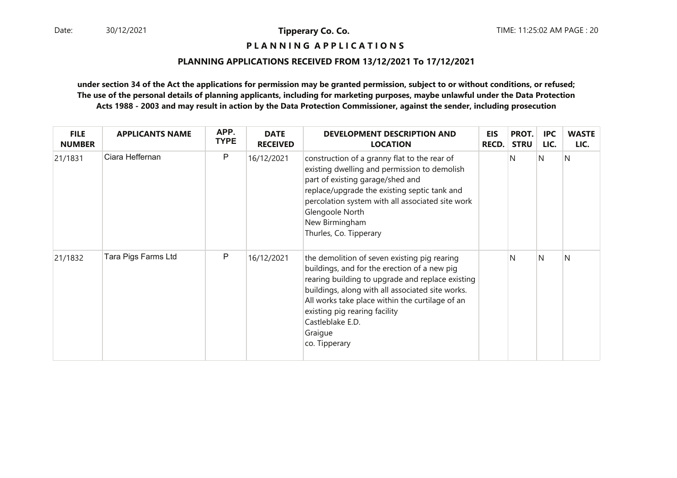**P L A N N I N G A P P L I C A T I O N S** 

#### **PLANNING APPLICATIONS RECEIVED FROM 13/12/2021 To 17/12/2021**

| <b>FILE</b><br><b>NUMBER</b> | <b>APPLICANTS NAME</b> | APP.<br><b>TYPE</b> | <b>DATE</b><br><b>RECEIVED</b> | <b>DEVELOPMENT DESCRIPTION AND</b><br><b>LOCATION</b>                                                                                                                                                                                                                                                                                    | <b>EIS</b><br><b>RECD.</b> | PROT.<br><b>STRU</b> | <b>IPC</b><br>LIC. | <b>WASTE</b><br>LIC. |
|------------------------------|------------------------|---------------------|--------------------------------|------------------------------------------------------------------------------------------------------------------------------------------------------------------------------------------------------------------------------------------------------------------------------------------------------------------------------------------|----------------------------|----------------------|--------------------|----------------------|
| 21/1831                      | Ciara Heffernan        | $\mathsf{P}$        | 16/12/2021                     | construction of a granny flat to the rear of<br>existing dwelling and permission to demolish<br>part of existing garage/shed and<br>replace/upgrade the existing septic tank and<br>percolation system with all associated site work<br>Glengoole North<br>New Birmingham<br>Thurles, Co. Tipperary                                      |                            | N                    | N                  | N                    |
| 21/1832                      | Tara Pigs Farms Ltd    | P                   | 16/12/2021                     | the demolition of seven existing pig rearing<br>buildings, and for the erection of a new pig<br>rearing building to upgrade and replace existing<br>buildings, along with all associated site works.<br>All works take place within the curtilage of an<br>existing pig rearing facility<br>Castleblake E.D.<br>Graigue<br>co. Tipperary |                            | N                    | <sup>N</sup>       | N                    |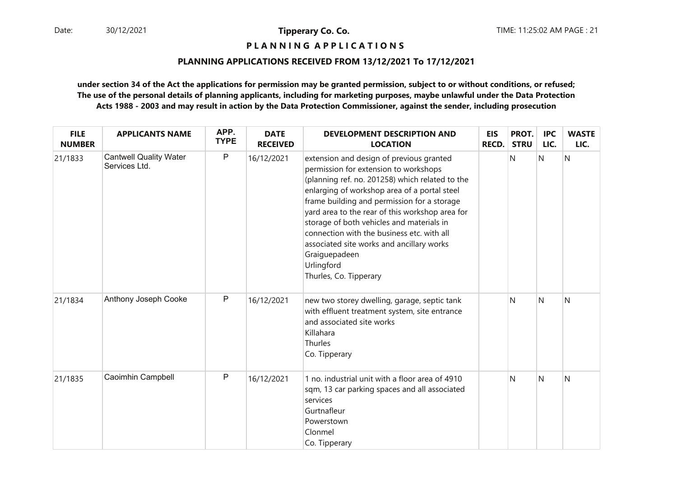**P L A N N I N G A P P L I C A T I O N S** 

### **PLANNING APPLICATIONS RECEIVED FROM 13/12/2021 To 17/12/2021**

| <b>FILE</b><br><b>NUMBER</b> | <b>APPLICANTS NAME</b>                         | APP.<br><b>TYPE</b> | <b>DATE</b><br><b>RECEIVED</b> | DEVELOPMENT DESCRIPTION AND<br><b>LOCATION</b>                                                                                                                                                                                                                                                                                                                                                                                                                                          | <b>EIS</b><br><b>RECD.</b> | PROT.<br><b>STRU</b> | <b>IPC</b><br>LIC. | <b>WASTE</b><br>LIC. |
|------------------------------|------------------------------------------------|---------------------|--------------------------------|-----------------------------------------------------------------------------------------------------------------------------------------------------------------------------------------------------------------------------------------------------------------------------------------------------------------------------------------------------------------------------------------------------------------------------------------------------------------------------------------|----------------------------|----------------------|--------------------|----------------------|
| 21/1833                      | <b>Cantwell Quality Water</b><br>Services Ltd. | $\mathsf{P}$        | 16/12/2021                     | extension and design of previous granted<br>permission for extension to workshops<br>(planning ref. no. 201258) which related to the<br>enlarging of workshop area of a portal steel<br>frame building and permission for a storage<br>yard area to the rear of this workshop area for<br>storage of both vehicles and materials in<br>connection with the business etc. with all<br>associated site works and ancillary works<br>Graiguepadeen<br>Urlingford<br>Thurles, Co. Tipperary |                            | N                    | N                  | N                    |
| 21/1834                      | Anthony Joseph Cooke                           | $\mathsf{P}$        | 16/12/2021                     | new two storey dwelling, garage, septic tank<br>with effluent treatment system, site entrance<br>and associated site works<br>Killahara<br>Thurles<br>Co. Tipperary                                                                                                                                                                                                                                                                                                                     |                            | N                    | N                  | N                    |
| 21/1835                      | Caoimhin Campbell                              | $\mathsf{P}$        | 16/12/2021                     | 1 no. industrial unit with a floor area of 4910<br>sqm, 13 car parking spaces and all associated<br>services<br>Gurtnafleur<br>Powerstown<br>Clonmel<br>Co. Tipperary                                                                                                                                                                                                                                                                                                                   |                            | N                    | N                  | N                    |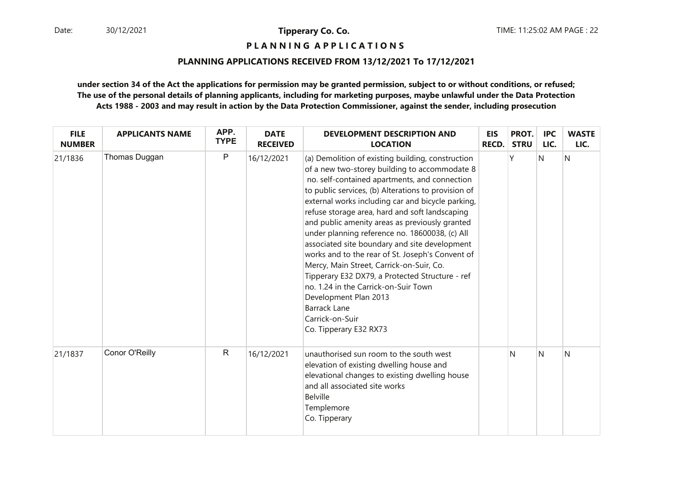**P L A N N I N G A P P L I C A T I O N S** 

### **PLANNING APPLICATIONS RECEIVED FROM 13/12/2021 To 17/12/2021**

| <b>FILE</b><br><b>NUMBER</b> | <b>APPLICANTS NAME</b> | APP.<br><b>TYPE</b> | <b>DATE</b><br><b>RECEIVED</b> | DEVELOPMENT DESCRIPTION AND<br><b>LOCATION</b>                                                                                                                                                                                                                                                                                                                                                                                                                                                                                                                                                                                                                                                                                                                 | EIS<br><b>RECD.</b> | PROT.<br><b>STRU</b> | <b>IPC</b><br>LIC. | <b>WASTE</b><br>LIC. |
|------------------------------|------------------------|---------------------|--------------------------------|----------------------------------------------------------------------------------------------------------------------------------------------------------------------------------------------------------------------------------------------------------------------------------------------------------------------------------------------------------------------------------------------------------------------------------------------------------------------------------------------------------------------------------------------------------------------------------------------------------------------------------------------------------------------------------------------------------------------------------------------------------------|---------------------|----------------------|--------------------|----------------------|
| 21/1836                      | Thomas Duggan          | $\mathsf{P}$        | 16/12/2021                     | (a) Demolition of existing building, construction<br>of a new two-storey building to accommodate 8<br>no. self-contained apartments, and connection<br>to public services, (b) Alterations to provision of<br>external works including car and bicycle parking,<br>refuse storage area, hard and soft landscaping<br>and public amenity areas as previously granted<br>under planning reference no. 18600038, (c) All<br>associated site boundary and site development<br>works and to the rear of St. Joseph's Convent of<br>Mercy, Main Street, Carrick-on-Suir, Co.<br>Tipperary E32 DX79, a Protected Structure - ref<br>no. 1.24 in the Carrick-on-Suir Town<br>Development Plan 2013<br><b>Barrack Lane</b><br>Carrick-on-Suir<br>Co. Tipperary E32 RX73 |                     | Υ                    | $\mathsf{N}$       | N                    |
| 21/1837                      | Conor O'Reilly         | $\mathsf{R}$        | 16/12/2021                     | unauthorised sun room to the south west<br>elevation of existing dwelling house and<br>elevational changes to existing dwelling house<br>and all associated site works<br><b>Belville</b><br>Templemore<br>Co. Tipperary                                                                                                                                                                                                                                                                                                                                                                                                                                                                                                                                       |                     | N                    | N                  | N                    |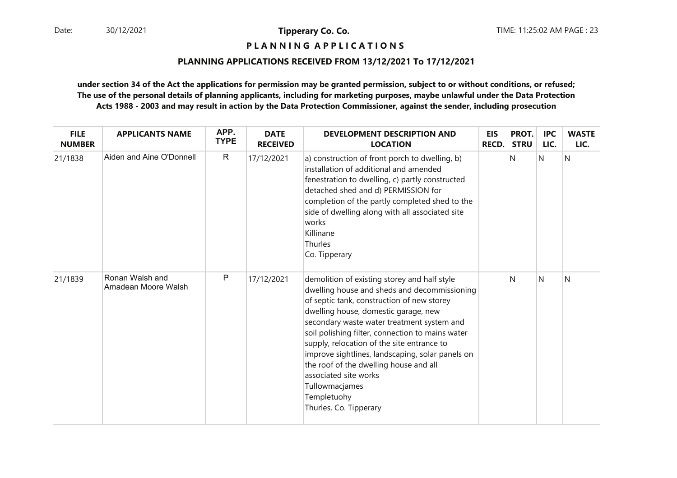# **P L A N N I N G A P P L I C A T I O N S**

#### **PLANNING APPLICATIONS RECEIVED FROM 13/12/2021 To 17/12/2021**

| <b>FILE</b><br><b>NUMBER</b> | <b>APPLICANTS NAME</b>                 | APP.<br><b>TYPE</b> | <b>DATE</b><br><b>RECEIVED</b> | <b>DEVELOPMENT DESCRIPTION AND</b><br><b>LOCATION</b>                                                                                                                                                                                                                                                                                                                                                                                                                                                                | <b>EIS</b><br><b>RECD.</b> | PROT.<br><b>STRU</b> | <b>IPC</b><br>LIC. | <b>WASTE</b><br>LIC. |
|------------------------------|----------------------------------------|---------------------|--------------------------------|----------------------------------------------------------------------------------------------------------------------------------------------------------------------------------------------------------------------------------------------------------------------------------------------------------------------------------------------------------------------------------------------------------------------------------------------------------------------------------------------------------------------|----------------------------|----------------------|--------------------|----------------------|
| 21/1838                      | Aiden and Aine O'Donnell               | $\mathsf{R}$        | 17/12/2021                     | a) construction of front porch to dwelling, b)<br>installation of additional and amended<br>fenestration to dwelling, c) partly constructed<br>detached shed and d) PERMISSION for<br>completion of the partly completed shed to the<br>side of dwelling along with all associated site<br>works<br>Killinane<br>Thurles<br>Co. Tipperary                                                                                                                                                                            |                            | N                    | N                  | N                    |
| 21/1839                      | Ronan Walsh and<br>Amadean Moore Walsh | P                   | 17/12/2021                     | demolition of existing storey and half style<br>dwelling house and sheds and decommissioning<br>of septic tank, construction of new storey<br>dwelling house, domestic garage, new<br>secondary waste water treatment system and<br>soil polishing filter, connection to mains water<br>supply, relocation of the site entrance to<br>improve sightlines, landscaping, solar panels on<br>the roof of the dwelling house and all<br>associated site works<br>Tullowmacjames<br>Templetuohy<br>Thurles, Co. Tipperary |                            | N                    | N                  | N                    |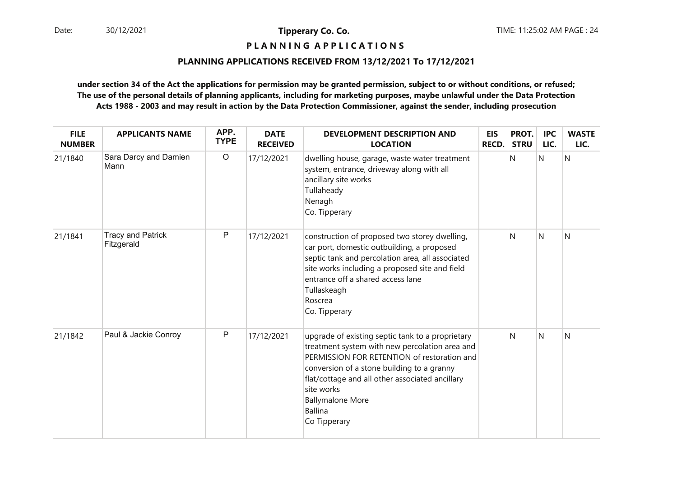**P L A N N I N G A P P L I C A T I O N S** 

#### **PLANNING APPLICATIONS RECEIVED FROM 13/12/2021 To 17/12/2021**

| <b>FILE</b><br><b>NUMBER</b> | <b>APPLICANTS NAME</b>                 | APP.<br><b>TYPE</b> | <b>DATE</b><br><b>RECEIVED</b> | <b>DEVELOPMENT DESCRIPTION AND</b><br><b>LOCATION</b>                                                                                                                                                                                                                                                                         | <b>EIS</b><br>RECD. | PROT.<br><b>STRU</b> | <b>IPC</b><br>LIC. | <b>WASTE</b><br>LIC. |
|------------------------------|----------------------------------------|---------------------|--------------------------------|-------------------------------------------------------------------------------------------------------------------------------------------------------------------------------------------------------------------------------------------------------------------------------------------------------------------------------|---------------------|----------------------|--------------------|----------------------|
| 21/1840                      | Sara Darcy and Damien<br>Mann          | $\circ$             | 17/12/2021                     | dwelling house, garage, waste water treatment<br>system, entrance, driveway along with all<br>ancillary site works<br>Tullaheady<br>Nenagh<br>Co. Tipperary                                                                                                                                                                   |                     | N                    | $\mathsf{N}$       | N                    |
| 21/1841                      | <b>Tracy and Patrick</b><br>Fitzgerald | $\mathsf{P}$        | 17/12/2021                     | construction of proposed two storey dwelling,<br>car port, domestic outbuilding, a proposed<br>septic tank and percolation area, all associated<br>site works including a proposed site and field<br>entrance off a shared access lane<br>Tullaskeagh<br>Roscrea<br>Co. Tipperary                                             |                     | N                    | N                  | N                    |
| 21/1842                      | Paul & Jackie Conroy                   | $\mathsf{P}$        | 17/12/2021                     | upgrade of existing septic tank to a proprietary<br>treatment system with new percolation area and<br>PERMISSION FOR RETENTION of restoration and<br>conversion of a stone building to a granny<br>flat/cottage and all other associated ancillary<br>site works<br><b>Ballymalone More</b><br><b>Ballina</b><br>Co Tipperary |                     | N                    | N                  | N                    |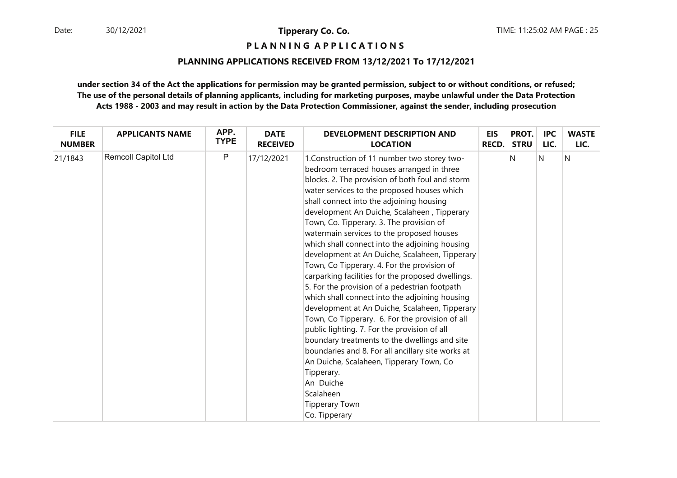**P L A N N I N G A P P L I C A T I O N S** 

### **PLANNING APPLICATIONS RECEIVED FROM 13/12/2021 To 17/12/2021**

| <b>FILE</b>   | <b>APPLICANTS NAME</b> | APP.         | <b>DATE</b>     | DEVELOPMENT DESCRIPTION AND                                                                                                                                                                                                                                                                                                                                                                                                                                                                                                                                                                                                                                                                                                                                                                                                                                                                                                                                                                                                                                                         | <b>EIS</b>   | PROT.       | <b>IPC</b> | <b>WASTE</b> |
|---------------|------------------------|--------------|-----------------|-------------------------------------------------------------------------------------------------------------------------------------------------------------------------------------------------------------------------------------------------------------------------------------------------------------------------------------------------------------------------------------------------------------------------------------------------------------------------------------------------------------------------------------------------------------------------------------------------------------------------------------------------------------------------------------------------------------------------------------------------------------------------------------------------------------------------------------------------------------------------------------------------------------------------------------------------------------------------------------------------------------------------------------------------------------------------------------|--------------|-------------|------------|--------------|
| <b>NUMBER</b> |                        | <b>TYPE</b>  | <b>RECEIVED</b> | <b>LOCATION</b>                                                                                                                                                                                                                                                                                                                                                                                                                                                                                                                                                                                                                                                                                                                                                                                                                                                                                                                                                                                                                                                                     | <b>RECD.</b> | <b>STRU</b> | LIC.       | LIC.         |
| 21/1843       | Remcoll Capitol Ltd    | $\mathsf{P}$ | 17/12/2021      | 1. Construction of 11 number two storey two-<br>bedroom terraced houses arranged in three<br>blocks. 2. The provision of both foul and storm<br>water services to the proposed houses which<br>shall connect into the adjoining housing<br>development An Duiche, Scalaheen, Tipperary<br>Town, Co. Tipperary. 3. The provision of<br>watermain services to the proposed houses<br>which shall connect into the adjoining housing<br>development at An Duiche, Scalaheen, Tipperary<br>Town, Co Tipperary. 4. For the provision of<br>carparking facilities for the proposed dwellings.<br>5. For the provision of a pedestrian footpath<br>which shall connect into the adjoining housing<br>development at An Duiche, Scalaheen, Tipperary<br>Town, Co Tipperary. 6. For the provision of all<br>public lighting. 7. For the provision of all<br>boundary treatments to the dwellings and site<br>boundaries and 8. For all ancillary site works at<br>An Duiche, Scalaheen, Tipperary Town, Co<br>Tipperary.<br>An Duiche<br>Scalaheen<br><b>Tipperary Town</b><br>Co. Tipperary |              | N           | N          | N            |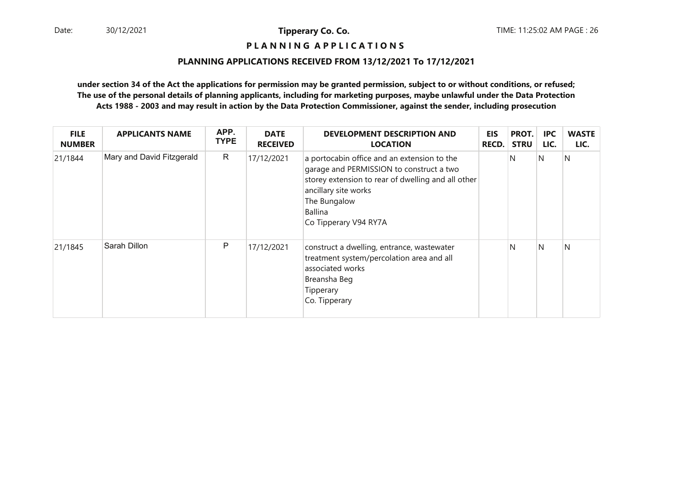# **P L A N N I N G A P P L I C A T I O N S**

#### **PLANNING APPLICATIONS RECEIVED FROM 13/12/2021 To 17/12/2021**

| <b>FILE</b><br><b>NUMBER</b> | <b>APPLICANTS NAME</b>    | APP.<br><b>TYPE</b> | <b>DATE</b><br><b>RECEIVED</b> | <b>DEVELOPMENT DESCRIPTION AND</b><br><b>LOCATION</b>                                                                                                                                                                     | <b>EIS</b><br><b>RECD.</b> | PROT.<br><b>STRU</b> | <b>IPC</b><br>LIC. | <b>WASTE</b><br>LIC. |
|------------------------------|---------------------------|---------------------|--------------------------------|---------------------------------------------------------------------------------------------------------------------------------------------------------------------------------------------------------------------------|----------------------------|----------------------|--------------------|----------------------|
| 21/1844                      | Mary and David Fitzgerald | $\mathsf{R}$        | 17/12/2021                     | a portocabin office and an extension to the<br>garage and PERMISSION to construct a two<br>storey extension to rear of dwelling and all other<br>ancillary site works<br>The Bungalow<br>Ballina<br>Co Tipperary V94 RY7A |                            | N                    | IN.                | N                    |
| 21/1845                      | Sarah Dillon              | P                   | 17/12/2021                     | construct a dwelling, entrance, wastewater<br>treatment system/percolation area and all<br>associated works<br>Breansha Beg<br>Tipperary<br>Co. Tipperary                                                                 |                            | N                    | <sup>N</sup>       | N                    |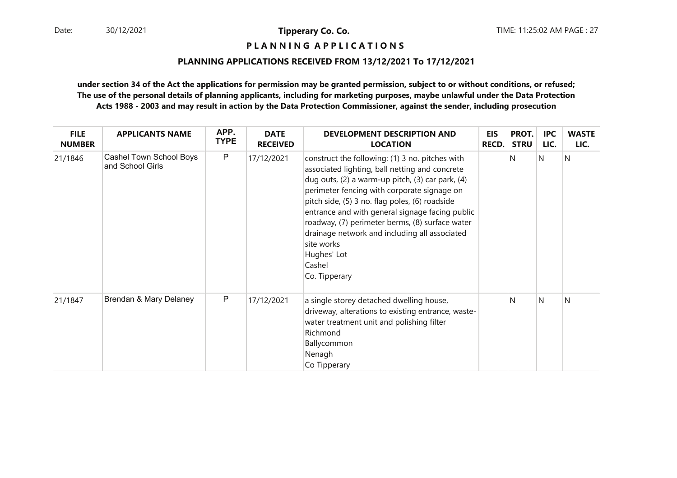# **P L A N N I N G A P P L I C A T I O N S**

#### **PLANNING APPLICATIONS RECEIVED FROM 13/12/2021 To 17/12/2021**

| <b>FILE</b><br><b>NUMBER</b> | <b>APPLICANTS NAME</b>                      | APP.<br><b>TYPE</b> | <b>DATE</b><br><b>RECEIVED</b> | <b>DEVELOPMENT DESCRIPTION AND</b><br><b>LOCATION</b>                                                                                                                                                                                                                                                                                                                                                                                                                 | <b>EIS</b><br><b>RECD.</b> | PROT.<br><b>STRU</b> | <b>IPC</b><br>LIC. | <b>WASTE</b><br>LIC. |
|------------------------------|---------------------------------------------|---------------------|--------------------------------|-----------------------------------------------------------------------------------------------------------------------------------------------------------------------------------------------------------------------------------------------------------------------------------------------------------------------------------------------------------------------------------------------------------------------------------------------------------------------|----------------------------|----------------------|--------------------|----------------------|
| 21/1846                      | Cashel Town School Boys<br>and School Girls | P                   | 17/12/2021                     | construct the following: (1) 3 no. pitches with<br>associated lighting, ball netting and concrete<br>dug outs, (2) a warm-up pitch, (3) car park, (4)<br>perimeter fencing with corporate signage on<br>pitch side, (5) 3 no. flag poles, (6) roadside<br>entrance and with general signage facing public<br>roadway, (7) perimeter berms, (8) surface water<br>drainage network and including all associated<br>site works<br>Hughes' Lot<br>Cashel<br>Co. Tipperary |                            | N                    | N                  | N                    |
| 21/1847                      | Brendan & Mary Delaney                      | P                   | 17/12/2021                     | a single storey detached dwelling house,<br>driveway, alterations to existing entrance, waste-<br>water treatment unit and polishing filter<br>Richmond<br>Ballycommon<br>Nenagh<br>Co Tipperary                                                                                                                                                                                                                                                                      |                            | N                    | N                  | N                    |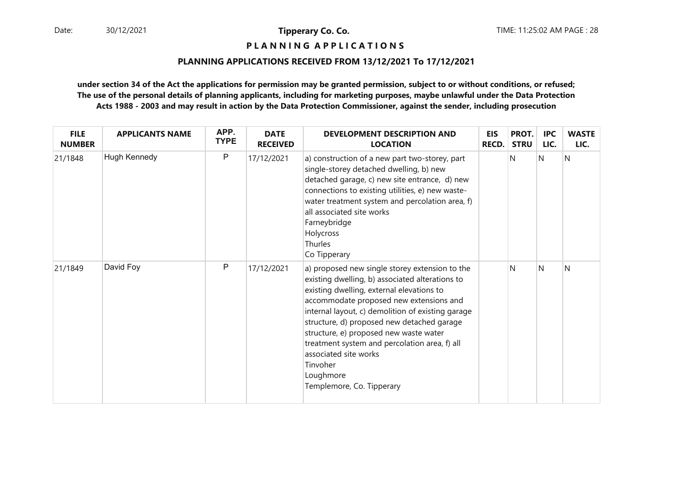# **P L A N N I N G A P P L I C A T I O N S**

#### **PLANNING APPLICATIONS RECEIVED FROM 13/12/2021 To 17/12/2021**

| <b>FILE</b><br><b>NUMBER</b> | <b>APPLICANTS NAME</b> | APP.<br><b>TYPE</b> | <b>DATE</b><br><b>RECEIVED</b> | <b>DEVELOPMENT DESCRIPTION AND</b><br><b>LOCATION</b>                                                                                                                                                                                                                                                                                                                                                                                                                  | <b>EIS</b><br><b>RECD.</b> | PROT.<br><b>STRU</b> | <b>IPC</b><br>LIC. | <b>WASTE</b><br>LIC. |
|------------------------------|------------------------|---------------------|--------------------------------|------------------------------------------------------------------------------------------------------------------------------------------------------------------------------------------------------------------------------------------------------------------------------------------------------------------------------------------------------------------------------------------------------------------------------------------------------------------------|----------------------------|----------------------|--------------------|----------------------|
| 21/1848                      | Hugh Kennedy           | P                   | 17/12/2021                     | a) construction of a new part two-storey, part<br>single-storey detached dwelling, b) new<br>detached garage, c) new site entrance, d) new<br>connections to existing utilities, e) new waste-<br>water treatment system and percolation area, f)<br>all associated site works<br>Farneybridge<br>Holycross<br>Thurles<br>Co Tipperary                                                                                                                                 |                            | N                    | N                  | $\overline{N}$       |
| 21/1849                      | David Foy              | P                   | 17/12/2021                     | a) proposed new single storey extension to the<br>existing dwelling, b) associated alterations to<br>existing dwelling, external elevations to<br>accommodate proposed new extensions and<br>internal layout, c) demolition of existing garage<br>structure, d) proposed new detached garage<br>structure, e) proposed new waste water<br>treatment system and percolation area, f) all<br>associated site works<br>Tinvoher<br>Loughmore<br>Templemore, Co. Tipperary |                            | N                    | N                  | N                    |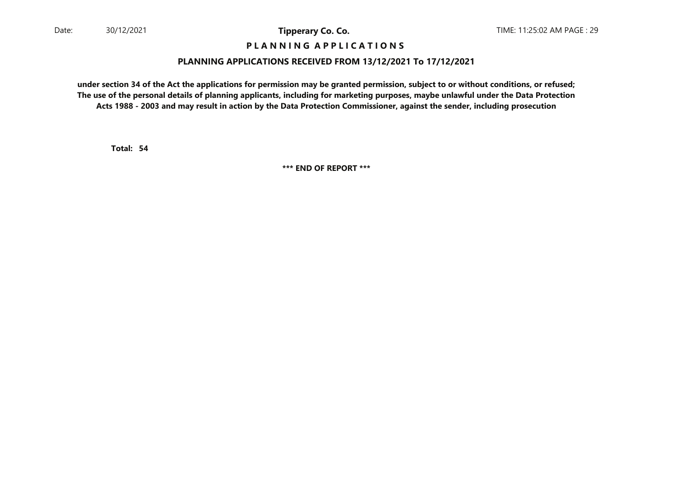### **P L A N N I N G A P P L I C A T I O N S**

#### **PLANNING APPLICATIONS RECEIVED FROM 13/12/2021 To 17/12/2021**

**under section 34 of the Act the applications for permission may be granted permission, subject to or without conditions, or refused; The use of the personal details of planning applicants, including for marketing purposes, maybe unlawful under the Data ProtectionActs 1988 - 2003 and may result in action by the Data Protection Commissioner, against the sender, including prosecution**

**54Total:**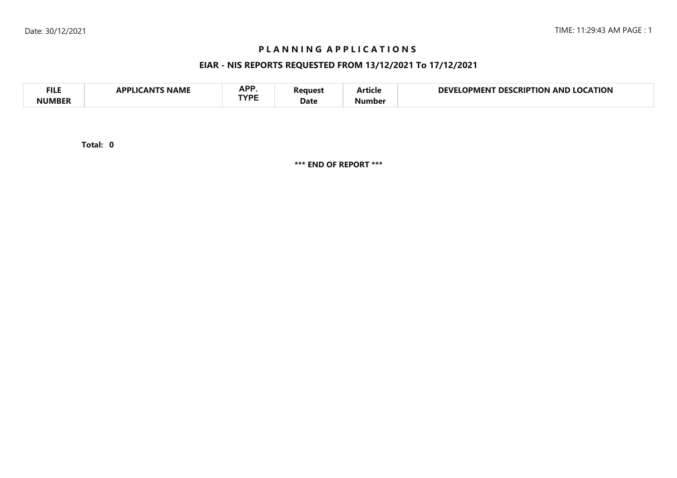# **P L A N N I N G A P P L I C A T I O N S**

# **EIAR - NIS REPORTS REQUESTED FROM 13/12/2021 To 17/12/2021**

| <b>FILE</b> | <b>NAME</b><br>`A NIT<br>APPI IC | APP<br><b>TVDC</b> | Reauest | . .<br>…rticle | <b>LOCATION</b><br>DEVF<br><b>CRIPTION</b><br><b>DES</b><br>OPMENT<br>AND |
|-------------|----------------------------------|--------------------|---------|----------------|---------------------------------------------------------------------------|
| NUMBER      |                                  |                    | Date    | Number         |                                                                           |

**0Total:**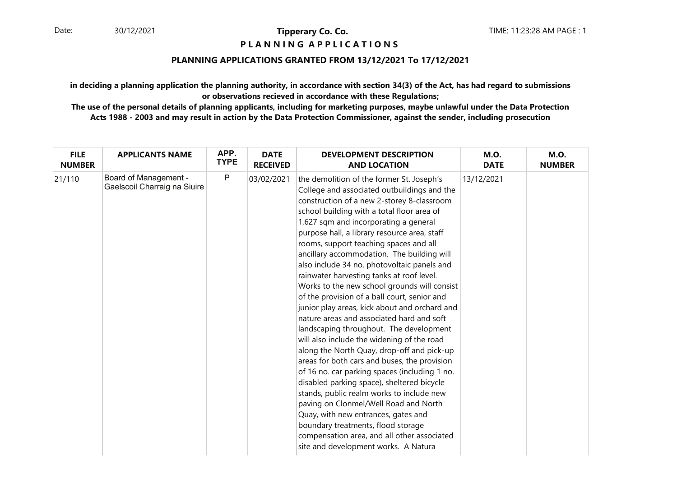### **P L A N N I N G A P P L I C A T I O N S**

### **PLANNING APPLICATIONS GRANTED FROM 13/12/2021 To 17/12/2021**

**in deciding a planning application the planning authority, in accordance with section 34(3) of the Act, has had regard to submissionsor observations recieved in accordance with these Regulations;**

| <b>FILE</b>   | <b>APPLICANTS NAME</b>                                       | APP.        | <b>DATE</b>     | <b>DEVELOPMENT DESCRIPTION</b>                                                                                                                                                                                                                                                                                                                                                                                                                                                                                                                                                                                                                                                                                                                                                                                                                                                                                                                                                                                                                                                                                                                                                                                  | <b>M.O.</b> | <b>M.O.</b>   |
|---------------|--------------------------------------------------------------|-------------|-----------------|-----------------------------------------------------------------------------------------------------------------------------------------------------------------------------------------------------------------------------------------------------------------------------------------------------------------------------------------------------------------------------------------------------------------------------------------------------------------------------------------------------------------------------------------------------------------------------------------------------------------------------------------------------------------------------------------------------------------------------------------------------------------------------------------------------------------------------------------------------------------------------------------------------------------------------------------------------------------------------------------------------------------------------------------------------------------------------------------------------------------------------------------------------------------------------------------------------------------|-------------|---------------|
| <b>NUMBER</b> |                                                              | <b>TYPE</b> | <b>RECEIVED</b> | <b>AND LOCATION</b>                                                                                                                                                                                                                                                                                                                                                                                                                                                                                                                                                                                                                                                                                                                                                                                                                                                                                                                                                                                                                                                                                                                                                                                             | <b>DATE</b> | <b>NUMBER</b> |
| 21/110        | <b>Board of Management -</b><br>Gaelscoil Charraig na Siuire | ${\sf P}$   | 03/02/2021      | the demolition of the former St. Joseph's<br>College and associated outbuildings and the<br>construction of a new 2-storey 8-classroom<br>school building with a total floor area of<br>1,627 sqm and incorporating a general<br>purpose hall, a library resource area, staff<br>rooms, support teaching spaces and all<br>ancillary accommodation. The building will<br>also include 34 no. photovoltaic panels and<br>rainwater harvesting tanks at roof level.<br>Works to the new school grounds will consist<br>of the provision of a ball court, senior and<br>junior play areas, kick about and orchard and<br>nature areas and associated hard and soft<br>landscaping throughout. The development<br>will also include the widening of the road<br>along the North Quay, drop-off and pick-up<br>areas for both cars and buses, the provision<br>of 16 no. car parking spaces (including 1 no.<br>disabled parking space), sheltered bicycle<br>stands, public realm works to include new<br>paving on Clonmel/Well Road and North<br>Quay, with new entrances, gates and<br>boundary treatments, flood storage<br>compensation area, and all other associated<br>site and development works. A Natura | 13/12/2021  |               |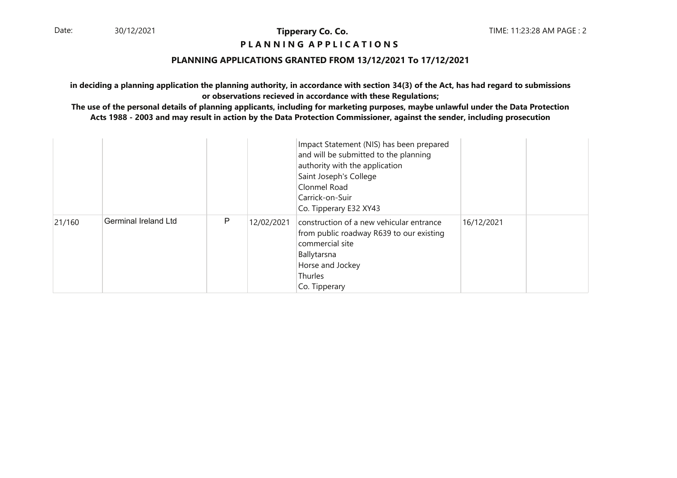#### **P L A N N I N G A P P L I C A T I O N S**

#### **PLANNING APPLICATIONS GRANTED FROM 13/12/2021 To 17/12/2021**

**in deciding a planning application the planning authority, in accordance with section 34(3) of the Act, has had regard to submissionsor observations recieved in accordance with these Regulations;**

|        |                             |   |            | Impact Statement (NIS) has been prepared<br>and will be submitted to the planning<br>authority with the application<br>Saint Joseph's College<br>Clonmel Road<br>Carrick-on-Suir<br>Co. Tipperary E32 XY43 |            |  |
|--------|-----------------------------|---|------------|------------------------------------------------------------------------------------------------------------------------------------------------------------------------------------------------------------|------------|--|
| 21/160 | <b>Germinal Ireland Ltd</b> | P | 12/02/2021 | construction of a new vehicular entrance<br>from public roadway R639 to our existing<br>commercial site<br>Ballytarsna<br>Horse and Jockey<br>Thurles<br>Co. Tipperary                                     | 16/12/2021 |  |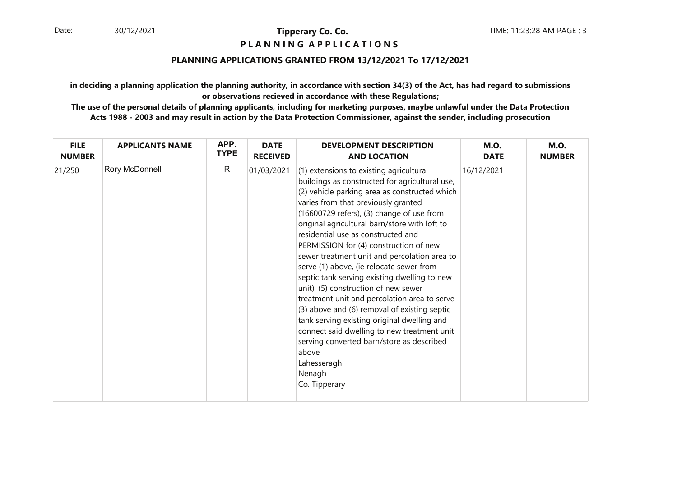# **P L A N N I N G A P P L I C A T I O N S**

### **PLANNING APPLICATIONS GRANTED FROM 13/12/2021 To 17/12/2021**

**in deciding a planning application the planning authority, in accordance with section 34(3) of the Act, has had regard to submissionsor observations recieved in accordance with these Regulations;**

| <b>FILE</b>   | <b>APPLICANTS NAME</b> | APP.         | <b>DATE</b>     | <b>DEVELOPMENT DESCRIPTION</b>                                                                                                                                                                                                                                                                                                                                                                                                                                                                                                                                                                                                                                                                                                                                                                                                                    | <b>M.O.</b> | <b>M.O.</b>   |
|---------------|------------------------|--------------|-----------------|---------------------------------------------------------------------------------------------------------------------------------------------------------------------------------------------------------------------------------------------------------------------------------------------------------------------------------------------------------------------------------------------------------------------------------------------------------------------------------------------------------------------------------------------------------------------------------------------------------------------------------------------------------------------------------------------------------------------------------------------------------------------------------------------------------------------------------------------------|-------------|---------------|
| <b>NUMBER</b> |                        | <b>TYPE</b>  | <b>RECEIVED</b> | <b>AND LOCATION</b>                                                                                                                                                                                                                                                                                                                                                                                                                                                                                                                                                                                                                                                                                                                                                                                                                               | <b>DATE</b> | <b>NUMBER</b> |
| 21/250        | Rory McDonnell         | $\mathsf{R}$ | 01/03/2021      | (1) extensions to existing agricultural<br>buildings as constructed for agricultural use,<br>(2) vehicle parking area as constructed which<br>varies from that previously granted<br>(16600729 refers), (3) change of use from<br>original agricultural barn/store with loft to<br>residential use as constructed and<br>PERMISSION for (4) construction of new<br>sewer treatment unit and percolation area to<br>serve (1) above, (ie relocate sewer from<br>septic tank serving existing dwelling to new<br>unit), (5) construction of new sewer<br>treatment unit and percolation area to serve<br>(3) above and (6) removal of existing septic<br>tank serving existing original dwelling and<br>connect said dwelling to new treatment unit<br>serving converted barn/store as described<br>above<br>Lahesseragh<br>Nenagh<br>Co. Tipperary | 16/12/2021  |               |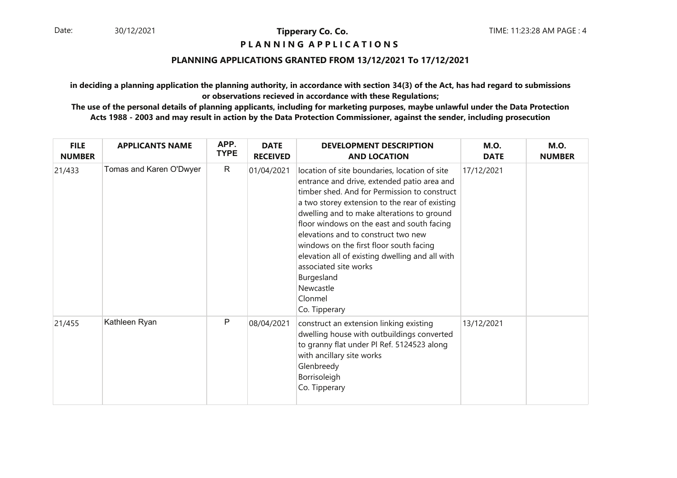# **P L A N N I N G A P P L I C A T I O N S**

### **PLANNING APPLICATIONS GRANTED FROM 13/12/2021 To 17/12/2021**

**in deciding a planning application the planning authority, in accordance with section 34(3) of the Act, has had regard to submissionsor observations recieved in accordance with these Regulations;**

| <b>FILE</b><br><b>NUMBER</b> | <b>APPLICANTS NAME</b>  | APP.<br><b>TYPE</b> | <b>DATE</b><br><b>RECEIVED</b> | <b>DEVELOPMENT DESCRIPTION</b><br><b>AND LOCATION</b>                                                                                                                                                                                                                                                                                                                                                                                                                                                           | <b>M.O.</b><br><b>DATE</b> | <b>M.O.</b><br><b>NUMBER</b> |
|------------------------------|-------------------------|---------------------|--------------------------------|-----------------------------------------------------------------------------------------------------------------------------------------------------------------------------------------------------------------------------------------------------------------------------------------------------------------------------------------------------------------------------------------------------------------------------------------------------------------------------------------------------------------|----------------------------|------------------------------|
| 21/433                       | Tomas and Karen O'Dwyer | $\mathsf{R}$        | 01/04/2021                     | location of site boundaries, location of site<br>entrance and drive, extended patio area and<br>timber shed. And for Permission to construct<br>a two storey extension to the rear of existing<br>dwelling and to make alterations to ground<br>floor windows on the east and south facing<br>elevations and to construct two new<br>windows on the first floor south facing<br>elevation all of existing dwelling and all with<br>associated site works<br>Burgesland<br>Newcastle<br>Clonmel<br>Co. Tipperary | 17/12/2021                 |                              |
| 21/455                       | Kathleen Ryan           | P                   | 08/04/2021                     | construct an extension linking existing<br>dwelling house with outbuildings converted<br>to granny flat under PI Ref. 5124523 along<br>with ancillary site works<br>Glenbreedy<br>Borrisoleigh<br>Co. Tipperary                                                                                                                                                                                                                                                                                                 | 13/12/2021                 |                              |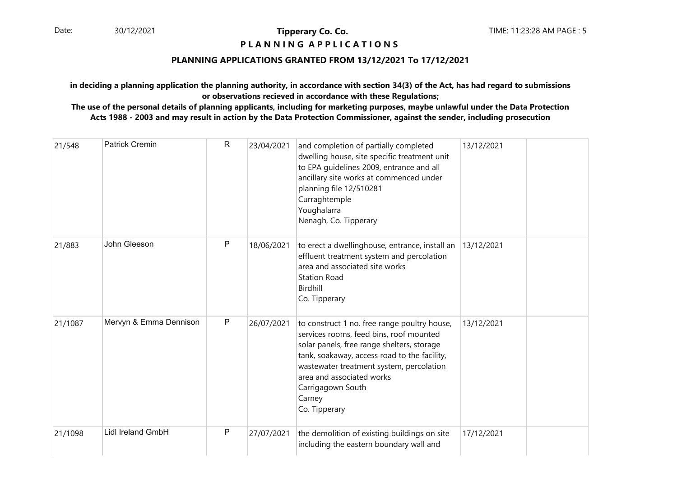### **P L A N N I N G A P P L I C A T I O N S**

### **PLANNING APPLICATIONS GRANTED FROM 13/12/2021 To 17/12/2021**

**in deciding a planning application the planning authority, in accordance with section 34(3) of the Act, has had regard to submissionsor observations recieved in accordance with these Regulations;**

| 21/548  | <b>Patrick Cremin</b>  | $\mathsf{R}$ | 23/04/2021 | and completion of partially completed<br>dwelling house, site specific treatment unit<br>to EPA guidelines 2009, entrance and all<br>ancillary site works at commenced under<br>planning file 12/510281<br>Curraghtemple<br>Youghalarra<br>Nenagh, Co. Tipperary                                               | 13/12/2021 |
|---------|------------------------|--------------|------------|----------------------------------------------------------------------------------------------------------------------------------------------------------------------------------------------------------------------------------------------------------------------------------------------------------------|------------|
| 21/883  | John Gleeson           | P            | 18/06/2021 | to erect a dwellinghouse, entrance, install an<br>effluent treatment system and percolation<br>area and associated site works<br><b>Station Road</b><br>Birdhill<br>Co. Tipperary                                                                                                                              | 13/12/2021 |
| 21/1087 | Mervyn & Emma Dennison | ${\sf P}$    | 26/07/2021 | to construct 1 no. free range poultry house,<br>services rooms, feed bins, roof mounted<br>solar panels, free range shelters, storage<br>tank, soakaway, access road to the facility,<br>wastewater treatment system, percolation<br>area and associated works<br>Carrigagown South<br>Carney<br>Co. Tipperary | 13/12/2021 |
| 21/1098 | Lidl Ireland GmbH      | P            | 27/07/2021 | the demolition of existing buildings on site<br>including the eastern boundary wall and                                                                                                                                                                                                                        | 17/12/2021 |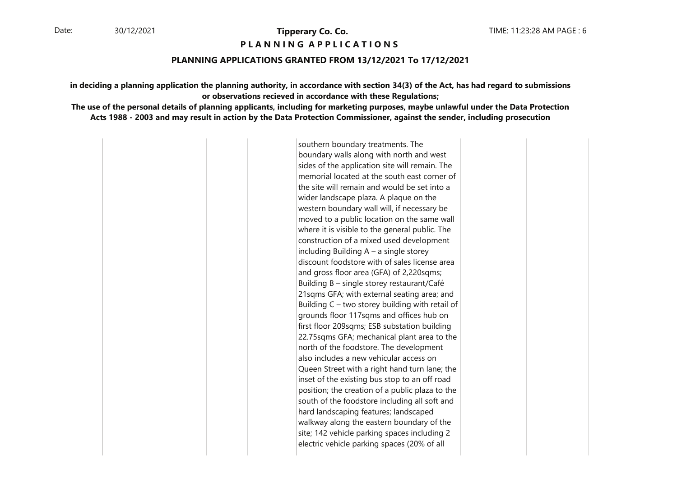**PIANNING APPIICATIONS** 

#### **PLANNING APPLICATIONS GRANTED FROM 13/12/2021 To 17/12/2021**

**in deciding a planning application the planning authority, in accordance with section 34(3) of the Act, has had regard to submissionsor observations recieved in accordance with these Regulations;**

**The use of the personal details of planning applicants, including for marketing purposes, maybe unlawful under the Data ProtectionActs 1988 - 2003 and may result in action by the Data Protection Commissioner, against the sender, including prosecution**

> southern boundary treatments. The boundary walls along with north and west sides of the application site will remain. The memorial located at the south east corner of the site will remain and would be set into a wider landscape plaza. A plaque on the western boundary wall will, if necessary be moved to a public location on the same wall where it is visible to the general public. The construction of a mixed used development including Building  $A - a$  single storey discount foodstore with of sales license area and gross floor area (GFA) of 2,220sqms; Building  $B -$  single storey restaurant/Café 21sqms GFA; with external seating area; and Building  $C -$  two storey building with retail of grounds floor 117sqms and offices hub on first floor 209sqms; ESB substation building 22.75sqms GFA; mechanical plant area to the north of the foodstore. The development also includes a new vehicular access on Queen Street with a right hand turn lane; the inset of the existing bus stop to an off road position; the creation of a public plaza to the south of the foodstore including all soft and hard landscaping features; landscaped walkway along the eastern boundary of the site; 142 vehicle parking spaces including 2 electric vehicle parking spaces (20% of all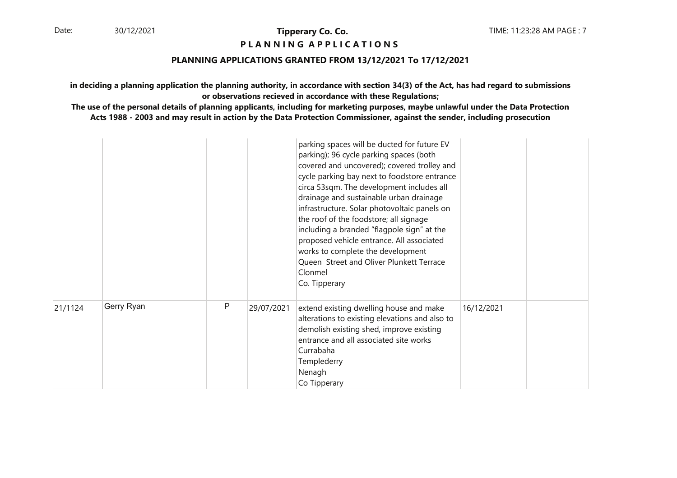**P L A N N I N G A P P L I C A T I O N S** 

### **PLANNING APPLICATIONS GRANTED FROM 13/12/2021 To 17/12/2021**

**in deciding a planning application the planning authority, in accordance with section 34(3) of the Act, has had regard to submissionsor observations recieved in accordance with these Regulations;**

|         |            |              |            | parking spaces will be ducted for future EV<br>parking); 96 cycle parking spaces (both<br>covered and uncovered); covered trolley and<br>cycle parking bay next to foodstore entrance<br>circa 53sqm. The development includes all<br>drainage and sustainable urban drainage<br>infrastructure. Solar photovoltaic panels on<br>the roof of the foodstore; all signage<br>including a branded "flagpole sign" at the<br>proposed vehicle entrance. All associated<br>works to complete the development<br>Queen Street and Oliver Plunkett Terrace<br>Clonmel<br>Co. Tipperary |            |  |
|---------|------------|--------------|------------|---------------------------------------------------------------------------------------------------------------------------------------------------------------------------------------------------------------------------------------------------------------------------------------------------------------------------------------------------------------------------------------------------------------------------------------------------------------------------------------------------------------------------------------------------------------------------------|------------|--|
| 21/1124 | Gerry Ryan | $\mathsf{P}$ | 29/07/2021 | extend existing dwelling house and make<br>alterations to existing elevations and also to<br>demolish existing shed, improve existing<br>entrance and all associated site works<br>Currabaha<br>Templederry<br>Nenagh<br>Co Tipperary                                                                                                                                                                                                                                                                                                                                           | 16/12/2021 |  |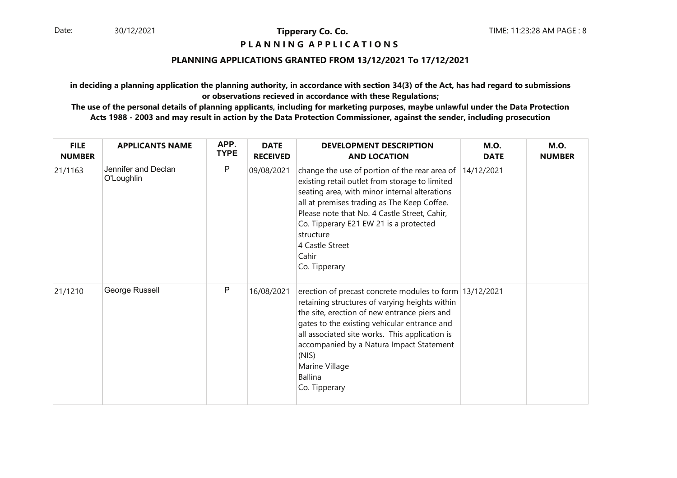# **P L A N N I N G A P P L I C A T I O N S**

### **PLANNING APPLICATIONS GRANTED FROM 13/12/2021 To 17/12/2021**

**in deciding a planning application the planning authority, in accordance with section 34(3) of the Act, has had regard to submissionsor observations recieved in accordance with these Regulations;**

| <b>FILE</b><br><b>NUMBER</b> | <b>APPLICANTS NAME</b>            | APP.<br><b>TYPE</b> | <b>DATE</b><br><b>RECEIVED</b> | <b>DEVELOPMENT DESCRIPTION</b><br><b>AND LOCATION</b>                                                                                                                                                                                                                                                                                                                 | <b>M.O.</b><br><b>DATE</b> | <b>M.O.</b><br><b>NUMBER</b> |
|------------------------------|-----------------------------------|---------------------|--------------------------------|-----------------------------------------------------------------------------------------------------------------------------------------------------------------------------------------------------------------------------------------------------------------------------------------------------------------------------------------------------------------------|----------------------------|------------------------------|
| 21/1163                      | Jennifer and Declan<br>O'Loughlin | P                   | 09/08/2021                     | change the use of portion of the rear area of 14/12/2021<br>existing retail outlet from storage to limited<br>seating area, with minor internal alterations<br>all at premises trading as The Keep Coffee.<br>Please note that No. 4 Castle Street, Cahir,<br>Co. Tipperary E21 EW 21 is a protected<br>structure<br>4 Castle Street<br>Cahir<br>Co. Tipperary        |                            |                              |
| 21/1210                      | George Russell                    | P                   | 16/08/2021                     | erection of precast concrete modules to form 13/12/2021<br>retaining structures of varying heights within<br>the site, erection of new entrance piers and<br>gates to the existing vehicular entrance and<br>all associated site works. This application is<br>accompanied by a Natura Impact Statement<br>(NIS)<br>Marine Village<br><b>Ballina</b><br>Co. Tipperary |                            |                              |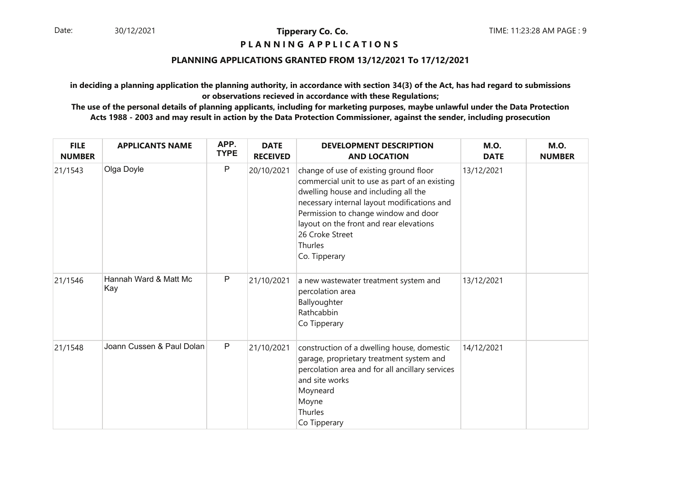#### **P L A N N I N G A P P L I C A T I O N S**

### **PLANNING APPLICATIONS GRANTED FROM 13/12/2021 To 17/12/2021**

**in deciding a planning application the planning authority, in accordance with section 34(3) of the Act, has had regard to submissionsor observations recieved in accordance with these Regulations;**

| <b>FILE</b><br><b>NUMBER</b> | <b>APPLICANTS NAME</b>       | APP.<br><b>TYPE</b> | <b>DATE</b><br><b>RECEIVED</b> | <b>DEVELOPMENT DESCRIPTION</b><br><b>AND LOCATION</b>                                                                                                                                                                                                                                                            | <b>M.O.</b><br><b>DATE</b> | <b>M.O.</b><br><b>NUMBER</b> |
|------------------------------|------------------------------|---------------------|--------------------------------|------------------------------------------------------------------------------------------------------------------------------------------------------------------------------------------------------------------------------------------------------------------------------------------------------------------|----------------------------|------------------------------|
| 21/1543                      | Olga Doyle                   | P                   | 20/10/2021                     | change of use of existing ground floor<br>commercial unit to use as part of an existing<br>dwelling house and including all the<br>necessary internal layout modifications and<br>Permission to change window and door<br>layout on the front and rear elevations<br>26 Croke Street<br>Thurles<br>Co. Tipperary | 13/12/2021                 |                              |
| 21/1546                      | Hannah Ward & Matt Mc<br>Kay | $\mathsf{P}$        | 21/10/2021                     | a new wastewater treatment system and<br>percolation area<br>Ballyoughter<br>Rathcabbin<br>Co Tipperary                                                                                                                                                                                                          | 13/12/2021                 |                              |
| 21/1548                      | Joann Cussen & Paul Dolan    | $\mathsf{P}$        | 21/10/2021                     | construction of a dwelling house, domestic<br>garage, proprietary treatment system and<br>percolation area and for all ancillary services<br>and site works<br>Moyneard<br>Moyne<br>Thurles<br>Co Tipperary                                                                                                      | 14/12/2021                 |                              |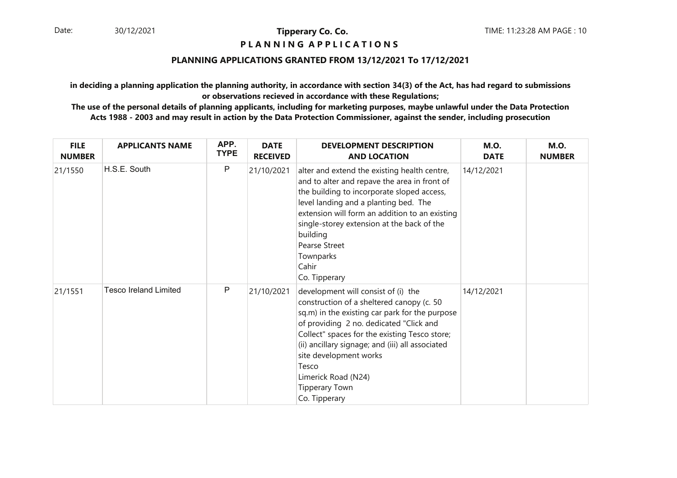# **P L A N N I N G A P P L I C A T I O N S**

### **PLANNING APPLICATIONS GRANTED FROM 13/12/2021 To 17/12/2021**

**in deciding a planning application the planning authority, in accordance with section 34(3) of the Act, has had regard to submissionsor observations recieved in accordance with these Regulations;**

| <b>FILE</b><br><b>NUMBER</b> | <b>APPLICANTS NAME</b>       | APP.<br><b>TYPE</b> | <b>DATE</b><br><b>RECEIVED</b> | <b>DEVELOPMENT DESCRIPTION</b><br><b>AND LOCATION</b>                                                                                                                                                                                                                                                                                                                                  | <b>M.O.</b><br><b>DATE</b> | <b>M.O.</b><br><b>NUMBER</b> |
|------------------------------|------------------------------|---------------------|--------------------------------|----------------------------------------------------------------------------------------------------------------------------------------------------------------------------------------------------------------------------------------------------------------------------------------------------------------------------------------------------------------------------------------|----------------------------|------------------------------|
| 21/1550                      | H.S.E. South                 | P                   | 21/10/2021                     | alter and extend the existing health centre,<br>and to alter and repave the area in front of<br>the building to incorporate sloped access,<br>level landing and a planting bed. The<br>extension will form an addition to an existing<br>single-storey extension at the back of the<br>building<br><b>Pearse Street</b><br>Townparks<br>Cahir<br>Co. Tipperary                         | 14/12/2021                 |                              |
| 21/1551                      | <b>Tesco Ireland Limited</b> | P                   | 21/10/2021                     | development will consist of (i) the<br>construction of a sheltered canopy (c. 50<br>sq.m) in the existing car park for the purpose<br>of providing 2 no. dedicated "Click and<br>Collect" spaces for the existing Tesco store;<br>(ii) ancillary signage; and (iii) all associated<br>site development works<br>Tesco<br>Limerick Road (N24)<br><b>Tipperary Town</b><br>Co. Tipperary | 14/12/2021                 |                              |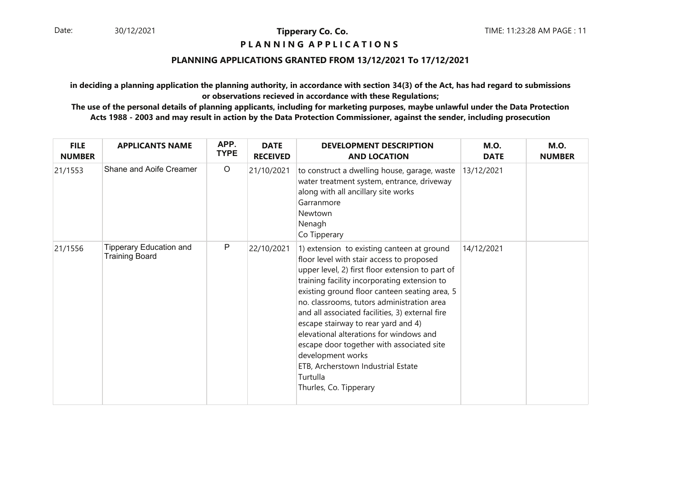#### **P L A N N I N G A P P L I C A T I O N S**

### **PLANNING APPLICATIONS GRANTED FROM 13/12/2021 To 17/12/2021**

**in deciding a planning application the planning authority, in accordance with section 34(3) of the Act, has had regard to submissionsor observations recieved in accordance with these Regulations;**

| <b>FILE</b><br><b>NUMBER</b> | <b>APPLICANTS NAME</b>                                  | APP.<br><b>TYPE</b> | <b>DATE</b><br><b>RECEIVED</b> | <b>DEVELOPMENT DESCRIPTION</b><br><b>AND LOCATION</b>                                                                                                                                                                                                                                                                                                                                                                                                                                                                                                                         | <b>M.O.</b><br><b>DATE</b> | <b>M.O.</b><br><b>NUMBER</b> |
|------------------------------|---------------------------------------------------------|---------------------|--------------------------------|-------------------------------------------------------------------------------------------------------------------------------------------------------------------------------------------------------------------------------------------------------------------------------------------------------------------------------------------------------------------------------------------------------------------------------------------------------------------------------------------------------------------------------------------------------------------------------|----------------------------|------------------------------|
| 21/1553                      | Shane and Aoife Creamer                                 | $\circ$             | 21/10/2021                     | to construct a dwelling house, garage, waste<br>water treatment system, entrance, driveway<br>along with all ancillary site works<br>Garranmore<br>Newtown<br>Nenagh<br>Co Tipperary                                                                                                                                                                                                                                                                                                                                                                                          | 13/12/2021                 |                              |
| 21/1556                      | <b>Tipperary Education and</b><br><b>Training Board</b> | $\mathsf{P}$        | 22/10/2021                     | 1) extension to existing canteen at ground<br>floor level with stair access to proposed<br>upper level, 2) first floor extension to part of<br>training facility incorporating extension to<br>existing ground floor canteen seating area, 5<br>no. classrooms, tutors administration area<br>and all associated facilities, 3) external fire<br>escape stairway to rear yard and 4)<br>elevational alterations for windows and<br>escape door together with associated site<br>development works<br>ETB, Archerstown Industrial Estate<br>Turtulla<br>Thurles, Co. Tipperary | 14/12/2021                 |                              |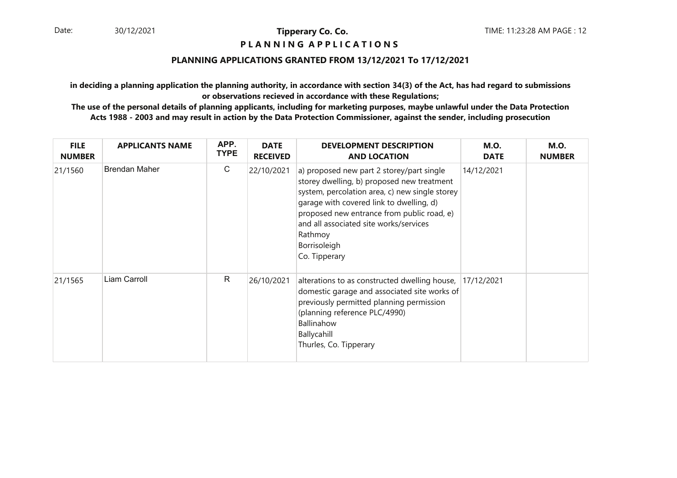#### **P L A N N I N G A P P L I C A T I O N S**

### **PLANNING APPLICATIONS GRANTED FROM 13/12/2021 To 17/12/2021**

**in deciding a planning application the planning authority, in accordance with section 34(3) of the Act, has had regard to submissionsor observations recieved in accordance with these Regulations;**

| <b>FILE</b><br><b>NUMBER</b> | <b>APPLICANTS NAME</b> | APP.<br><b>TYPE</b> | <b>DATE</b><br><b>RECEIVED</b> | <b>DEVELOPMENT DESCRIPTION</b><br><b>AND LOCATION</b>                                                                                                                                                                                                                                                                     | <b>M.O.</b><br><b>DATE</b> | <b>M.O.</b><br><b>NUMBER</b> |
|------------------------------|------------------------|---------------------|--------------------------------|---------------------------------------------------------------------------------------------------------------------------------------------------------------------------------------------------------------------------------------------------------------------------------------------------------------------------|----------------------------|------------------------------|
| 21/1560                      | <b>Brendan Maher</b>   | C                   | 22/10/2021                     | a) proposed new part 2 storey/part single<br>storey dwelling, b) proposed new treatment<br>system, percolation area, c) new single storey<br>garage with covered link to dwelling, d)<br>proposed new entrance from public road, e)<br>and all associated site works/services<br>Rathmoy<br>Borrisoleigh<br>Co. Tipperary | 14/12/2021                 |                              |
| 21/1565                      | Liam Carroll           | R                   | 26/10/2021                     | alterations to as constructed dwelling house,<br>domestic garage and associated site works of<br>previously permitted planning permission<br>(planning reference PLC/4990)<br>Ballinahow<br>Ballycahill<br>Thurles, Co. Tipperary                                                                                         | 17/12/2021                 |                              |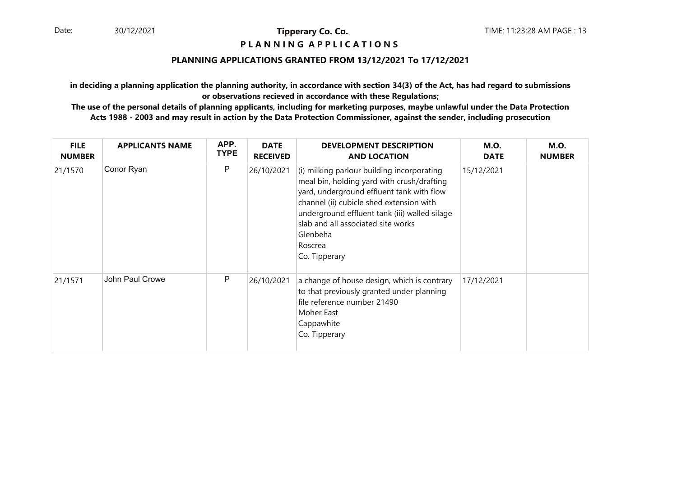# **P L A N N I N G A P P L I C A T I O N S**

### **PLANNING APPLICATIONS GRANTED FROM 13/12/2021 To 17/12/2021**

**in deciding a planning application the planning authority, in accordance with section 34(3) of the Act, has had regard to submissionsor observations recieved in accordance with these Regulations;**

| <b>FILE</b><br><b>NUMBER</b> | <b>APPLICANTS NAME</b> | APP.<br><b>TYPE</b> | <b>DATE</b><br><b>RECEIVED</b> | <b>DEVELOPMENT DESCRIPTION</b><br><b>AND LOCATION</b>                                                                                                                                                                                                                                                            | <b>M.O.</b><br><b>DATE</b> | <b>M.O.</b><br><b>NUMBER</b> |
|------------------------------|------------------------|---------------------|--------------------------------|------------------------------------------------------------------------------------------------------------------------------------------------------------------------------------------------------------------------------------------------------------------------------------------------------------------|----------------------------|------------------------------|
| 21/1570                      | Conor Ryan             | P                   | 26/10/2021                     | (i) milking parlour building incorporating<br>meal bin, holding yard with crush/drafting<br>yard, underground effluent tank with flow<br>channel (ii) cubicle shed extension with<br>underground effluent tank (iii) walled silage<br>slab and all associated site works<br>Glenbeha<br>Roscrea<br>Co. Tipperary | 15/12/2021                 |                              |
| 21/1571                      | John Paul Crowe        | P                   | 26/10/2021                     | a change of house design, which is contrary<br>to that previously granted under planning<br>file reference number 21490<br>Moher East<br>Cappawhite<br>Co. Tipperary                                                                                                                                             | 17/12/2021                 |                              |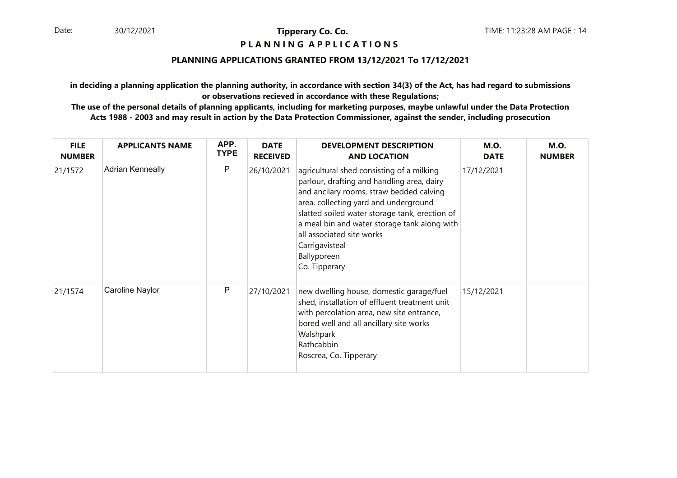#### **P L A N N I N G A P P L I C A T I O N S**

### **PLANNING APPLICATIONS GRANTED FROM 13/12/2021 To 17/12/2021**

**in deciding a planning application the planning authority, in accordance with section 34(3) of the Act, has had regard to submissionsor observations recieved in accordance with these Regulations;**

| <b>FILE</b><br><b>NUMBER</b> | <b>APPLICANTS NAME</b>  | APP.<br><b>TYPE</b> | <b>DATE</b><br><b>RECEIVED</b> | <b>DEVELOPMENT DESCRIPTION</b><br><b>AND LOCATION</b>                                                                                                                                                                                                                                                                                                         | <b>M.O.</b><br><b>DATE</b> | <b>M.O.</b><br><b>NUMBER</b> |
|------------------------------|-------------------------|---------------------|--------------------------------|---------------------------------------------------------------------------------------------------------------------------------------------------------------------------------------------------------------------------------------------------------------------------------------------------------------------------------------------------------------|----------------------------|------------------------------|
| 21/1572                      | <b>Adrian Kenneally</b> | P                   | 26/10/2021                     | agricultural shed consisting of a milking<br>parlour, drafting and handling area, dairy<br>and ancilary rooms, straw bedded calving<br>area, collecting yard and underground<br>slatted soiled water storage tank, erection of<br>a meal bin and water storage tank along with<br>all associated site works<br>Carrigavisteal<br>Ballyporeen<br>Co. Tipperary | 17/12/2021                 |                              |
| 21/1574                      | Caroline Naylor         | P                   | 27/10/2021                     | new dwelling house, domestic garage/fuel<br>shed, installation of effluent treatment unit<br>with percolation area, new site entrance,<br>bored well and all ancillary site works<br>Walshpark<br>Rathcabbin<br>Roscrea, Co. Tipperary                                                                                                                        | 15/12/2021                 |                              |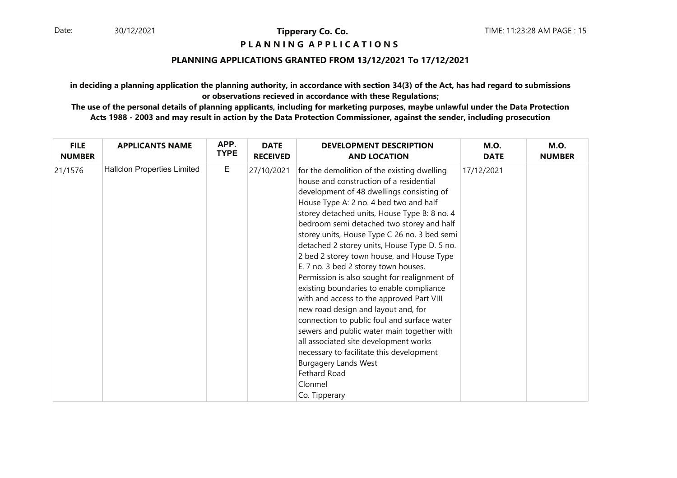#### **P L A N N I N G A P P L I C A T I O N S**

### **PLANNING APPLICATIONS GRANTED FROM 13/12/2021 To 17/12/2021**

**in deciding a planning application the planning authority, in accordance with section 34(3) of the Act, has had regard to submissionsor observations recieved in accordance with these Regulations;**

| <b>FILE</b>   | <b>APPLICANTS NAME</b>             | APP.        | <b>DATE</b>     | <b>DEVELOPMENT DESCRIPTION</b>                                                                                                                                                                                                                                                                                                                                                                                                                                                                                                                                                                                                                                                                                                                                                                                                                                                                               | <b>M.O.</b> | <b>M.O.</b>   |
|---------------|------------------------------------|-------------|-----------------|--------------------------------------------------------------------------------------------------------------------------------------------------------------------------------------------------------------------------------------------------------------------------------------------------------------------------------------------------------------------------------------------------------------------------------------------------------------------------------------------------------------------------------------------------------------------------------------------------------------------------------------------------------------------------------------------------------------------------------------------------------------------------------------------------------------------------------------------------------------------------------------------------------------|-------------|---------------|
| <b>NUMBER</b> |                                    | <b>TYPE</b> | <b>RECEIVED</b> | <b>AND LOCATION</b>                                                                                                                                                                                                                                                                                                                                                                                                                                                                                                                                                                                                                                                                                                                                                                                                                                                                                          | <b>DATE</b> | <b>NUMBER</b> |
| 21/1576       | <b>Hallclon Properties Limited</b> | E           | 27/10/2021      | for the demolition of the existing dwelling<br>house and construction of a residential<br>development of 48 dwellings consisting of<br>House Type A: 2 no. 4 bed two and half<br>storey detached units, House Type B: 8 no. 4<br>bedroom semi detached two storey and half<br>storey units, House Type C 26 no. 3 bed semi<br>detached 2 storey units, House Type D. 5 no.<br>2 bed 2 storey town house, and House Type<br>E. 7 no. 3 bed 2 storey town houses.<br>Permission is also sought for realignment of<br>existing boundaries to enable compliance<br>with and access to the approved Part VIII<br>new road design and layout and, for<br>connection to public foul and surface water<br>sewers and public water main together with<br>all associated site development works<br>necessary to facilitate this development<br><b>Burgagery Lands West</b><br>Fethard Road<br>Clonmel<br>Co. Tipperary | 17/12/2021  |               |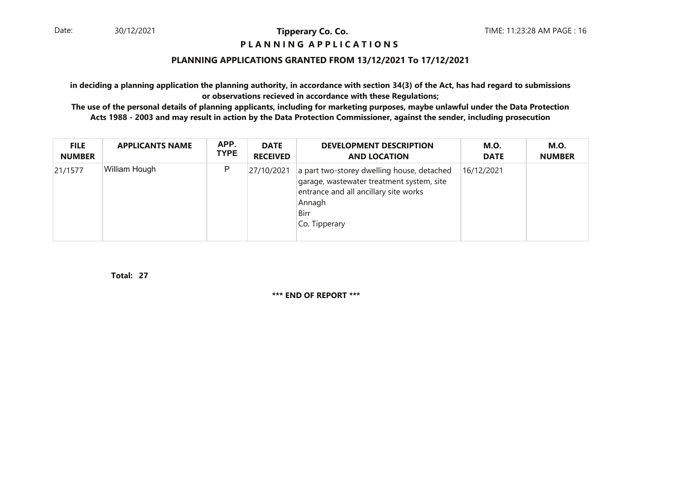#### **P L A N N I N G A P P L I C A T I O N S**

### **PLANNING APPLICATIONS GRANTED FROM 13/12/2021 To 17/12/2021**

**in deciding a planning application the planning authority, in accordance with section 34(3) of the Act, has had regard to submissionsor observations recieved in accordance with these Regulations;**

 **The use of the personal details of planning applicants, including for marketing purposes, maybe unlawful under the Data ProtectionActs 1988 - 2003 and may result in action by the Data Protection Commissioner, against the sender, including prosecution**

| <b>FILE</b>   | <b>APPLICANTS NAME</b> | APP.        | <b>DATE</b>     | <b>DEVELOPMENT DESCRIPTION</b>                                                                                                                                      | <b>M.O.</b> | M.O.          |
|---------------|------------------------|-------------|-----------------|---------------------------------------------------------------------------------------------------------------------------------------------------------------------|-------------|---------------|
| <b>NUMBER</b> |                        | <b>TYPE</b> | <b>RECEIVED</b> | <b>AND LOCATION</b>                                                                                                                                                 | <b>DATE</b> | <b>NUMBER</b> |
| 21/1577       | William Hough          | P           | 27/10/2021      | a part two-storey dwelling house, detached<br>garage, wastewater treatment system, site<br>entrance and all ancillary site works<br>Annagh<br>Birr<br>Co. Tipperary | 16/12/2021  |               |

**27Total:**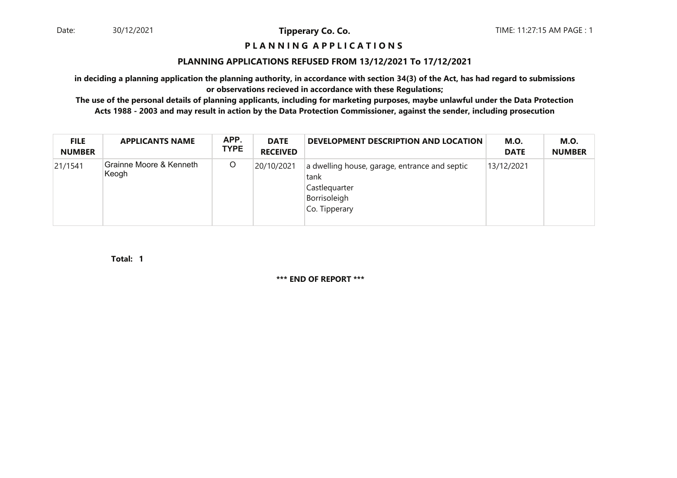#### **P L A N N I N G A P P L I C A T I O N S**

#### **PLANNING APPLICATIONS REFUSED FROM 13/12/2021 To 17/12/2021**

**in deciding a planning application the planning authority, in accordance with section 34(3) of the Act, has had regard to submissionsor observations recieved in accordance with these Regulations;**

 **The use of the personal details of planning applicants, including for marketing purposes, maybe unlawful under the Data ProtectionActs 1988 - 2003 and may result in action by the Data Protection Commissioner, against the sender, including prosecution**

| <b>FILE</b><br><b>NUMBER</b> | <b>APPLICANTS NAME</b>           | APP.<br><b>TYPE</b> | <b>DATE</b><br><b>RECEIVED</b> | DEVELOPMENT DESCRIPTION AND LOCATION                                                                    | <b>M.O.</b><br><b>DATE</b> | <b>M.O.</b><br><b>NUMBER</b> |
|------------------------------|----------------------------------|---------------------|--------------------------------|---------------------------------------------------------------------------------------------------------|----------------------------|------------------------------|
| 21/1541                      | Grainne Moore & Kenneth<br>Keogh | O                   | 20/10/2021                     | a dwelling house, garage, entrance and septic<br>tank<br>Castlequarter<br>Borrisoleigh<br>Co. Tipperary | 13/12/2021                 |                              |

**1Total:**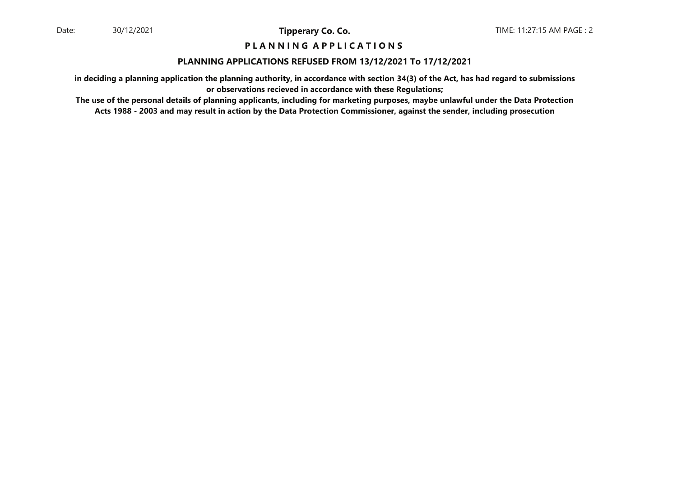#### **P L A N N I N G A P P L I C A T I O N S**

#### **PLANNING APPLICATIONS REFUSED FROM 13/12/2021 To 17/12/2021**

**in deciding a planning application the planning authority, in accordance with section 34(3) of the Act, has had regard to submissionsor observations recieved in accordance with these Regulations;**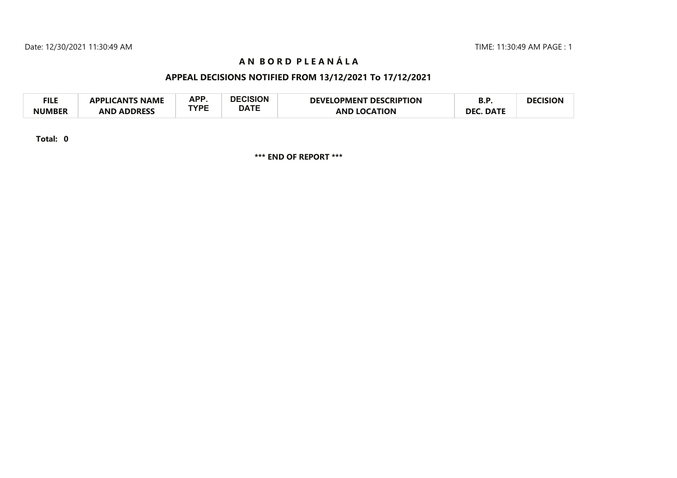TIME: 11:30:49 AM PAGE : 1

# **A N B O R D P L E A N £ L A**

# **APPEAL DECISIONS NOTIFIED FROM 13/12/2021 To 17/12/2021**

| <b>FILE</b>   | <b>APPLICANTS NAME</b> | APP         | <b>DECISION</b> | <b>DEVELOPMENT DESCRIPTION</b> | D.r                  | <b>DECISION</b> |
|---------------|------------------------|-------------|-----------------|--------------------------------|----------------------|-----------------|
| <b>NUMBER</b> | <b>AND ADDRESS</b>     | <b>TYPE</b> | <b>DATE</b>     | <b>AND LOCATION</b>            | . DATE<br><b>DEC</b> |                 |

**Total: 0**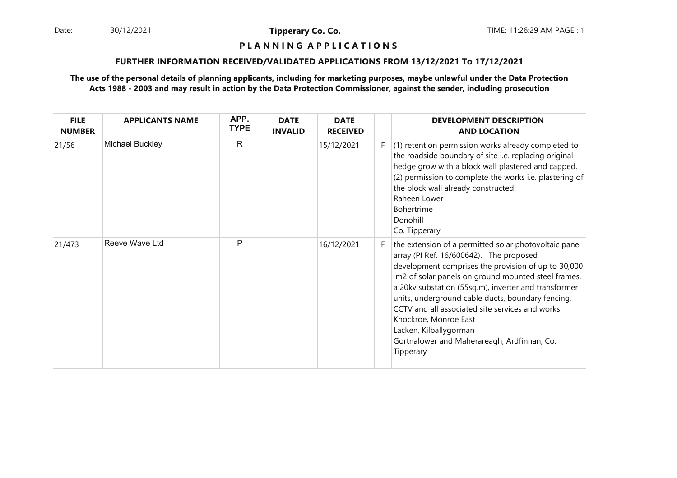Date: 30/12/2021 **Tipperary Co. Co. The Co. Co.** TIME: 11:26:29 AM PAGE : 1 30/12/2021

**Tipperary Co. Co.**

#### **P L A N N I N G A P P L I C A T I O N S**

#### **FURTHER INFORMATION RECEIVED/VALIDATED APPLICATIONS FROM 13/12/2021 To 17/12/2021**

| <b>FILE</b><br><b>NUMBER</b> | <b>APPLICANTS NAME</b> | APP.<br><b>TYPE</b> | <b>DATE</b><br><b>INVALID</b> | <b>DATE</b><br><b>RECEIVED</b> |    | <b>DEVELOPMENT DESCRIPTION</b><br><b>AND LOCATION</b>                                                                                                                                                                                                                                                                                                                                                                                                                                        |
|------------------------------|------------------------|---------------------|-------------------------------|--------------------------------|----|----------------------------------------------------------------------------------------------------------------------------------------------------------------------------------------------------------------------------------------------------------------------------------------------------------------------------------------------------------------------------------------------------------------------------------------------------------------------------------------------|
| 21/56                        | Michael Buckley        | $\mathsf{R}$        |                               | 15/12/2021                     | F. | (1) retention permission works already completed to<br>the roadside boundary of site i.e. replacing original<br>hedge grow with a block wall plastered and capped.<br>(2) permission to complete the works i.e. plastering of<br>the block wall already constructed<br>Raheen Lower<br><b>Bohertrime</b><br>Donohill<br>Co. Tipperary                                                                                                                                                        |
| 21/473                       | Reeve Wave Ltd         | P                   |                               | 16/12/2021                     | F. | the extension of a permitted solar photovoltaic panel<br>array (PI Ref. 16/600642). The proposed<br>development comprises the provision of up to 30,000<br>m2 of solar panels on ground mounted steel frames,<br>a 20kv substation (55sq.m), inverter and transformer<br>units, underground cable ducts, boundary fencing,<br>CCTV and all associated site services and works<br>Knockroe, Monroe East<br>Lacken, Kilballygorman<br>Gortnalower and Maherareagh, Ardfinnan, Co.<br>Tipperary |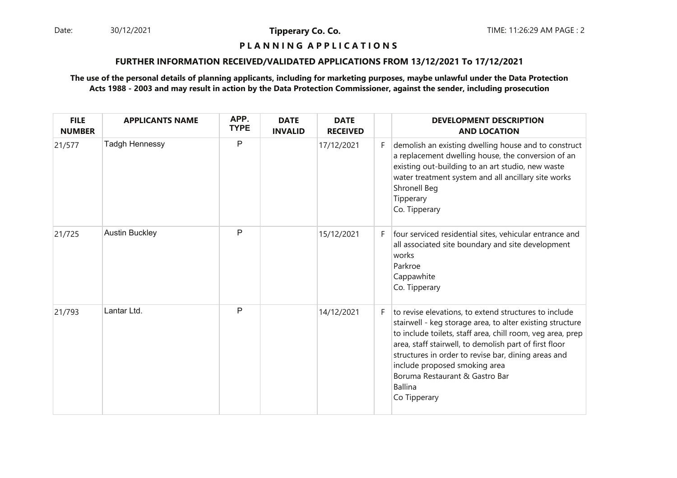30/12/2021

**Tipperary Co. Co.**

## **P L A N N I N G A P P L I C A T I O N S**

#### **FURTHER INFORMATION RECEIVED/VALIDATED APPLICATIONS FROM 13/12/2021 To 17/12/2021**

| <b>FILE</b><br><b>NUMBER</b> | <b>APPLICANTS NAME</b> | APP.<br><b>TYPE</b> | <b>DATE</b><br><b>INVALID</b> | <b>DATE</b><br><b>RECEIVED</b> |    | <b>DEVELOPMENT DESCRIPTION</b><br><b>AND LOCATION</b>                                                                                                                                                                                                                                                                                                                                                  |
|------------------------------|------------------------|---------------------|-------------------------------|--------------------------------|----|--------------------------------------------------------------------------------------------------------------------------------------------------------------------------------------------------------------------------------------------------------------------------------------------------------------------------------------------------------------------------------------------------------|
| 21/577                       | Tadgh Hennessy         | P                   |                               | 17/12/2021                     | F. | demolish an existing dwelling house and to construct<br>a replacement dwelling house, the conversion of an<br>existing out-building to an art studio, new waste<br>water treatment system and all ancillary site works<br>Shronell Beg<br>Tipperary<br>Co. Tipperary                                                                                                                                   |
| 21/725                       | <b>Austin Buckley</b>  | $\mathsf{P}$        |                               | 15/12/2021                     | F. | four serviced residential sites, vehicular entrance and<br>all associated site boundary and site development<br>works<br>Parkroe<br>Cappawhite<br>Co. Tipperary                                                                                                                                                                                                                                        |
| 21/793                       | Lantar Ltd.            | $\mathsf{P}$        |                               | 14/12/2021                     | F. | to revise elevations, to extend structures to include<br>stairwell - keg storage area, to alter existing structure<br>to include toilets, staff area, chill room, veg area, prep<br>area, staff stairwell, to demolish part of first floor<br>structures in order to revise bar, dining areas and<br>include proposed smoking area<br>Boruma Restaurant & Gastro Bar<br><b>Ballina</b><br>Co Tipperary |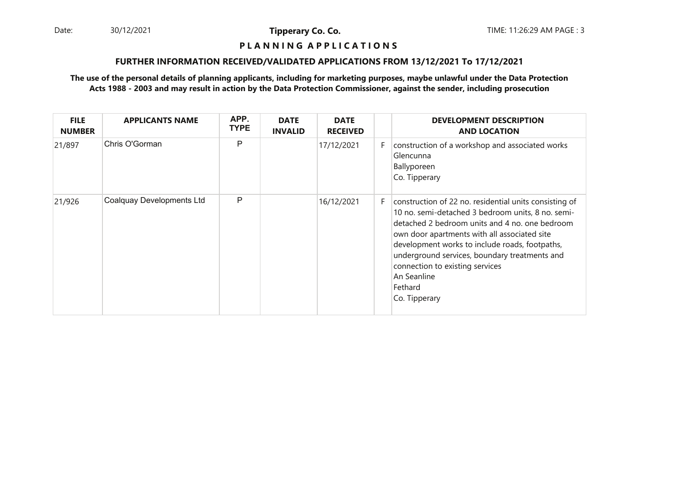Date: 30/12/2021 **Tipperary Co. Co. Co.** TIME: 11:26:29 AM PAGE : 3 30/12/2021

**Tipperary Co. Co.**

# **P L A N N I N G A P P L I C A T I O N S**

#### **FURTHER INFORMATION RECEIVED/VALIDATED APPLICATIONS FROM 13/12/2021 To 17/12/2021**

| <b>FILE</b><br><b>NUMBER</b> | <b>APPLICANTS NAME</b>    | APP.<br><b>TYPE</b> | <b>DATE</b><br><b>INVALID</b> | <b>DATE</b><br><b>RECEIVED</b> |    | <b>DEVELOPMENT DESCRIPTION</b><br><b>AND LOCATION</b>                                                                                                                                                                                                                                                                                                                                          |
|------------------------------|---------------------------|---------------------|-------------------------------|--------------------------------|----|------------------------------------------------------------------------------------------------------------------------------------------------------------------------------------------------------------------------------------------------------------------------------------------------------------------------------------------------------------------------------------------------|
| 21/897                       | Chris O'Gorman            | P                   |                               | 17/12/2021                     | F. | construction of a workshop and associated works<br>Glencunna<br>Ballyporeen<br>Co. Tipperary                                                                                                                                                                                                                                                                                                   |
| 21/926                       | Coalquay Developments Ltd | P                   |                               | 16/12/2021                     | F. | construction of 22 no. residential units consisting of<br>10 no. semi-detached 3 bedroom units, 8 no. semi-<br>detached 2 bedroom units and 4 no. one bedroom<br>own door apartments with all associated site<br>development works to include roads, footpaths,<br>underground services, boundary treatments and<br>connection to existing services<br>An Seanline<br>Fethard<br>Co. Tipperary |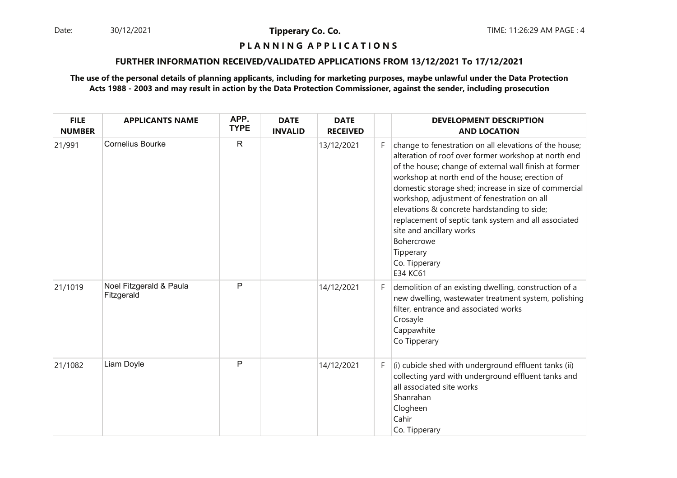Date: 30/12/2021 **Tipperary Co. Co. Co.** TIME: 11:26:29 AM PAGE : 4 30/12/2021

**Tipperary Co. Co.**

## **P L A N N I N G A P P L I C A T I O N S**

#### **FURTHER INFORMATION RECEIVED/VALIDATED APPLICATIONS FROM 13/12/2021 To 17/12/2021**

| <b>FILE</b><br><b>NUMBER</b> | <b>APPLICANTS NAME</b>                | APP.<br><b>TYPE</b> | <b>DATE</b><br><b>INVALID</b> | <b>DATE</b><br><b>RECEIVED</b> |    | <b>DEVELOPMENT DESCRIPTION</b><br><b>AND LOCATION</b>                                                                                                                                                                                                                                                                                                                                                                                                                                                                          |
|------------------------------|---------------------------------------|---------------------|-------------------------------|--------------------------------|----|--------------------------------------------------------------------------------------------------------------------------------------------------------------------------------------------------------------------------------------------------------------------------------------------------------------------------------------------------------------------------------------------------------------------------------------------------------------------------------------------------------------------------------|
| 21/991                       | <b>Cornelius Bourke</b>               | $\mathsf{R}$        |                               | 13/12/2021                     | F. | change to fenestration on all elevations of the house;<br>alteration of roof over former workshop at north end<br>of the house; change of external wall finish at former<br>workshop at north end of the house; erection of<br>domestic storage shed; increase in size of commercial<br>workshop, adjustment of fenestration on all<br>elevations & concrete hardstanding to side;<br>replacement of septic tank system and all associated<br>site and ancillary works<br>Bohercrowe<br>Tipperary<br>Co. Tipperary<br>E34 KC61 |
| 21/1019                      | Noel Fitzgerald & Paula<br>Fitzgerald | P                   |                               | 14/12/2021                     | F. | demolition of an existing dwelling, construction of a<br>new dwelling, wastewater treatment system, polishing<br>filter, entrance and associated works<br>Crosayle<br>Cappawhite<br>Co Tipperary                                                                                                                                                                                                                                                                                                                               |
| 21/1082                      | Liam Doyle                            | $\mathsf{P}$        |                               | 14/12/2021                     | F. | (i) cubicle shed with underground effluent tanks (ii)<br>collecting yard with underground effluent tanks and<br>all associated site works<br>Shanrahan<br>Clogheen<br>Cahir<br>Co. Tipperary                                                                                                                                                                                                                                                                                                                                   |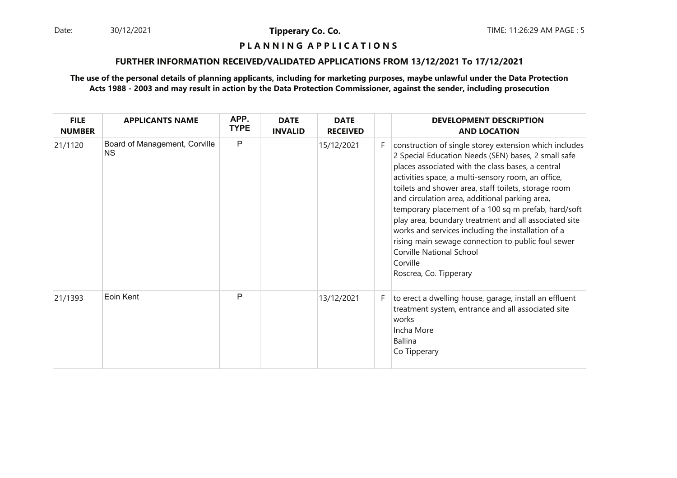Date: 30/12/2021 **Tipperary Co. Co. Co.** TIME: 11:26:29 AM PAGE : 5 30/12/2021

**Tipperary Co. Co.**

## **P L A N N I N G A P P L I C A T I O N S**

#### **FURTHER INFORMATION RECEIVED/VALIDATED APPLICATIONS FROM 13/12/2021 To 17/12/2021**

| <b>FILE</b><br><b>NUMBER</b> | <b>APPLICANTS NAME</b>                     | APP.<br><b>TYPE</b> | <b>DATE</b><br><b>INVALID</b> | <b>DATE</b><br><b>RECEIVED</b> |    | <b>DEVELOPMENT DESCRIPTION</b><br><b>AND LOCATION</b>                                                                                                                                                                                                                                                                                                                                                                                                                                                                                                                                                                                   |
|------------------------------|--------------------------------------------|---------------------|-------------------------------|--------------------------------|----|-----------------------------------------------------------------------------------------------------------------------------------------------------------------------------------------------------------------------------------------------------------------------------------------------------------------------------------------------------------------------------------------------------------------------------------------------------------------------------------------------------------------------------------------------------------------------------------------------------------------------------------------|
| 21/1120                      | Board of Management, Corville<br><b>NS</b> | P                   |                               | 15/12/2021                     | F. | construction of single storey extension which includes<br>2 Special Education Needs (SEN) bases, 2 small safe<br>places associated with the class bases, a central<br>activities space, a multi-sensory room, an office,<br>toilets and shower area, staff toilets, storage room<br>and circulation area, additional parking area,<br>temporary placement of a 100 sq m prefab, hard/soft<br>play area, boundary treatment and all associated site<br>works and services including the installation of a<br>rising main sewage connection to public foul sewer<br><b>Corville National School</b><br>Corville<br>Roscrea, Co. Tipperary |
| 21/1393                      | Eoin Kent                                  | P                   |                               | 13/12/2021                     | F. | to erect a dwelling house, garage, install an effluent<br>treatment system, entrance and all associated site<br>works<br>Incha More<br><b>Ballina</b><br>Co Tipperary                                                                                                                                                                                                                                                                                                                                                                                                                                                                   |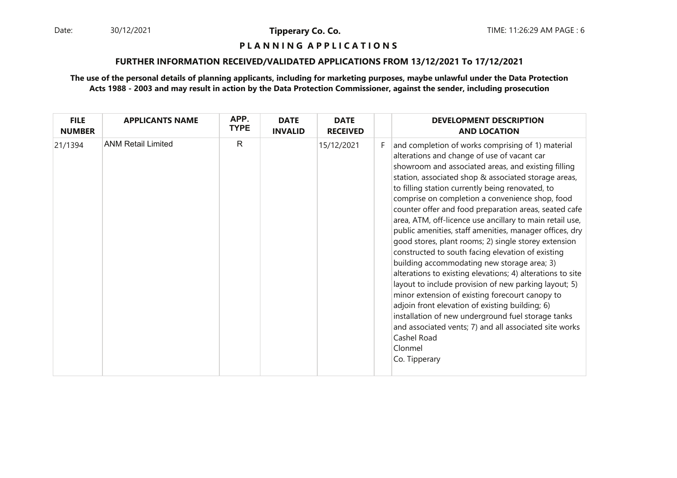Date: 30/12/2021 **Tipperary Co. Co. Co.** TIME: 11:26:29 AM PAGE : 6 30/12/2021

**Tipperary Co. Co.**

### **P L A N N I N G A P P L I C A T I O N S**

#### **FURTHER INFORMATION RECEIVED/VALIDATED APPLICATIONS FROM 13/12/2021 To 17/12/2021**

| <b>FILE</b><br><b>NUMBER</b> | <b>APPLICANTS NAME</b>    | APP.<br><b>TYPE</b> | <b>DATE</b><br><b>INVALID</b> | <b>DATE</b><br><b>RECEIVED</b> |    | <b>DEVELOPMENT DESCRIPTION</b><br><b>AND LOCATION</b>                                                                                                                                                                                                                                                                                                                                                                                                                                                                                                                                                                                                                                                                                                                                                                                                                                                                                                                                                                                                      |
|------------------------------|---------------------------|---------------------|-------------------------------|--------------------------------|----|------------------------------------------------------------------------------------------------------------------------------------------------------------------------------------------------------------------------------------------------------------------------------------------------------------------------------------------------------------------------------------------------------------------------------------------------------------------------------------------------------------------------------------------------------------------------------------------------------------------------------------------------------------------------------------------------------------------------------------------------------------------------------------------------------------------------------------------------------------------------------------------------------------------------------------------------------------------------------------------------------------------------------------------------------------|
| 21/1394                      | <b>ANM Retail Limited</b> | $\mathsf{R}$        |                               | 15/12/2021                     | F. | and completion of works comprising of 1) material<br>alterations and change of use of vacant car<br>showroom and associated areas, and existing filling<br>station, associated shop & associated storage areas,<br>to filling station currently being renovated, to<br>comprise on completion a convenience shop, food<br>counter offer and food preparation areas, seated cafe<br>area, ATM, off-licence use ancillary to main retail use,<br>public amenities, staff amenities, manager offices, dry<br>good stores, plant rooms; 2) single storey extension<br>constructed to south facing elevation of existing<br>building accommodating new storage area; 3)<br>alterations to existing elevations; 4) alterations to site<br>layout to include provision of new parking layout; 5)<br>minor extension of existing forecourt canopy to<br>adjoin front elevation of existing building; 6)<br>installation of new underground fuel storage tanks<br>and associated vents; 7) and all associated site works<br>Cashel Road<br>Clonmel<br>Co. Tipperary |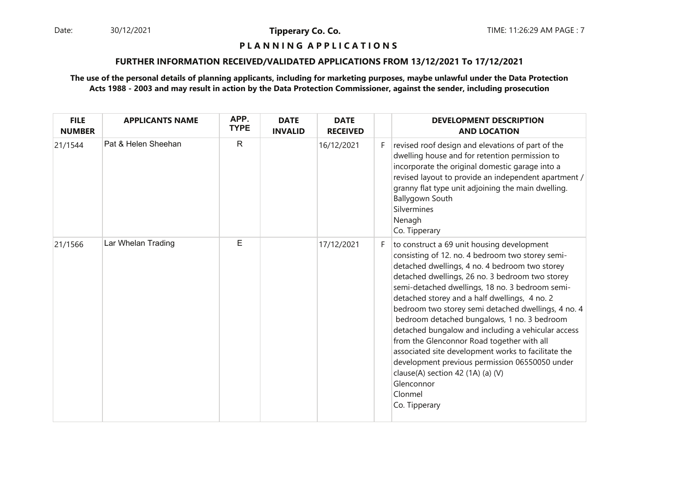30/12/2021

**Tipperary Co. Co.**

## **P L A N N I N G A P P L I C A T I O N S**

#### **FURTHER INFORMATION RECEIVED/VALIDATED APPLICATIONS FROM 13/12/2021 To 17/12/2021**

| <b>FILE</b><br><b>NUMBER</b> | <b>APPLICANTS NAME</b> | APP.<br><b>TYPE</b> | <b>DATE</b><br><b>INVALID</b> | <b>DATE</b><br><b>RECEIVED</b> |    | <b>DEVELOPMENT DESCRIPTION</b><br><b>AND LOCATION</b>                                                                                                                                                                                                                                                                                                                                                                                                                                                                                                                                                                                                                                                     |
|------------------------------|------------------------|---------------------|-------------------------------|--------------------------------|----|-----------------------------------------------------------------------------------------------------------------------------------------------------------------------------------------------------------------------------------------------------------------------------------------------------------------------------------------------------------------------------------------------------------------------------------------------------------------------------------------------------------------------------------------------------------------------------------------------------------------------------------------------------------------------------------------------------------|
| 21/1544                      | Pat & Helen Sheehan    | $\mathsf{R}$        |                               | 16/12/2021                     | F. | revised roof design and elevations of part of the<br>dwelling house and for retention permission to<br>incorporate the original domestic garage into a<br>revised layout to provide an independent apartment /<br>granny flat type unit adjoining the main dwelling.<br>Ballygown South<br>Silvermines<br>Nenagh<br>Co. Tipperary                                                                                                                                                                                                                                                                                                                                                                         |
| 21/1566                      | Lar Whelan Trading     | E                   |                               | 17/12/2021                     | F. | to construct a 69 unit housing development<br>consisting of 12. no. 4 bedroom two storey semi-<br>detached dwellings, 4 no. 4 bedroom two storey<br>detached dwellings, 26 no. 3 bedroom two storey<br>semi-detached dwellings, 18 no. 3 bedroom semi-<br>detached storey and a half dwellings, 4 no. 2<br>bedroom two storey semi detached dwellings, 4 no. 4<br>bedroom detached bungalows, 1 no. 3 bedroom<br>detached bungalow and including a vehicular access<br>from the Glenconnor Road together with all<br>associated site development works to facilitate the<br>development previous permission 06550050 under<br>clause(A) section 42 (1A) (a) (V)<br>Glenconnor<br>Clonmel<br>Co. Tipperary |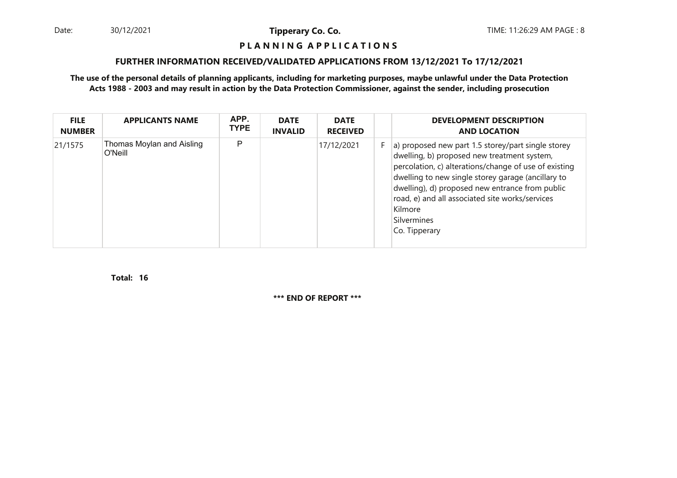Date: 30/12/2021 **Tipperary Co. Co. Co.** TIME: 11:26:29 AM PAGE : 8 30/12/2021

**Tipperary Co. Co.**

#### **P L A N N I N G A P P L I C A T I O N S**

#### **FURTHER INFORMATION RECEIVED/VALIDATED APPLICATIONS FROM 13/12/2021 To 17/12/2021**

#### **The use of the personal details of planning applicants, including for marketing purposes, maybe unlawful under the Data ProtectionActs 1988 - 2003 and may result in action by the Data Protection Commissioner, against the sender, including prosecution**

| <b>FILE</b><br><b>NUMBER</b> | <b>APPLICANTS NAME</b>               | APP.<br><b>TYPE</b> | <b>DATE</b><br><b>INVALID</b> | <b>DATE</b><br><b>RECEIVED</b> |    | <b>DEVELOPMENT DESCRIPTION</b><br><b>AND LOCATION</b>                                                                                                                                                                                                                                                                                                             |
|------------------------------|--------------------------------------|---------------------|-------------------------------|--------------------------------|----|-------------------------------------------------------------------------------------------------------------------------------------------------------------------------------------------------------------------------------------------------------------------------------------------------------------------------------------------------------------------|
| 21/1575                      | Thomas Moylan and Aisling<br>O'Neill | P                   |                               | 17/12/2021                     | F. | a) proposed new part 1.5 storey/part single storey<br>dwelling, b) proposed new treatment system,<br>percolation, c) alterations/change of use of existing<br>dwelling to new single storey garage (ancillary to<br>dwelling), d) proposed new entrance from public<br>road, e) and all associated site works/services<br>Kilmore<br>Silvermines<br>Co. Tipperary |

**16Total:**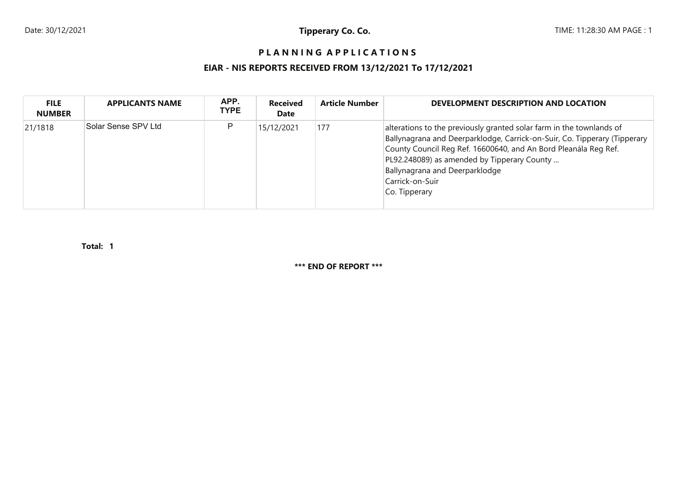# **P L A N N I N G A P P L I C A T I O N S**

# **EIAR - NIS REPORTS RECEIVED FROM 13/12/2021 To 17/12/2021**

| <b>FILE</b><br><b>NUMBER</b> | <b>APPLICANTS NAME</b> | APP.<br><b>TYPE</b> | <b>Received</b><br><b>Date</b> | <b>Article Number</b> | DEVELOPMENT DESCRIPTION AND LOCATION                                                                                                                                                                                                                                                                                                      |
|------------------------------|------------------------|---------------------|--------------------------------|-----------------------|-------------------------------------------------------------------------------------------------------------------------------------------------------------------------------------------------------------------------------------------------------------------------------------------------------------------------------------------|
| 21/1818                      | Solar Sense SPV Ltd    | P                   | 15/12/2021                     | 177                   | alterations to the previously granted solar farm in the townlands of<br>Ballynagrana and Deerparklodge, Carrick-on-Suir, Co. Tipperary (Tipperary<br>County Council Reg Ref. 16600640, and An Bord Pleanála Reg Ref.<br>PL92.248089) as amended by Tipperary County<br>Ballynagrana and Deerparklodge<br>Carrick-on-Suir<br>Co. Tipperary |

**1Total:**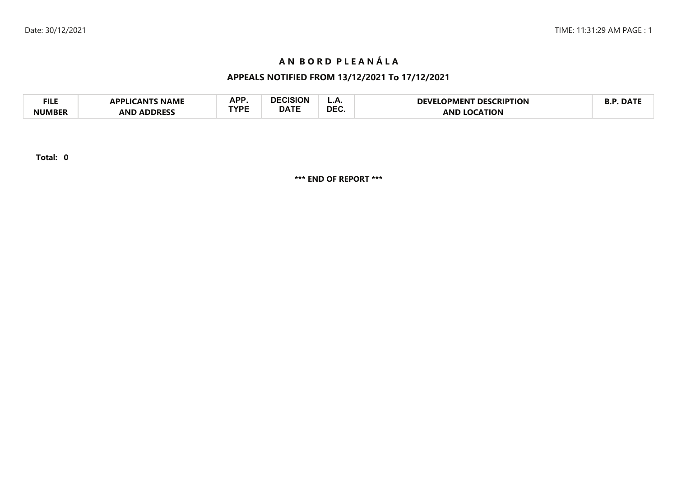# **AN BORD PLEANÁLA**

# **APPEALS NOTIFIED FROM 13/12/2021 To 17/12/2021**

| FILE   | <b>LICANTS NAME</b><br>ומם | A D D       | DECISION    | <u>.</u>   | <b>DESCRIPTION</b><br>DFVFI<br>.OPMENT | $\blacksquare$ DAT $\blacksquare$ |
|--------|----------------------------|-------------|-------------|------------|----------------------------------------|-----------------------------------|
| NUMBER | <b>ADDRESS</b><br>AND      | <b>TVDE</b> | <b>DATE</b> | <b>DEC</b> | `ΑΤΙΟΝ<br>ANI                          |                                   |

**Total: 0**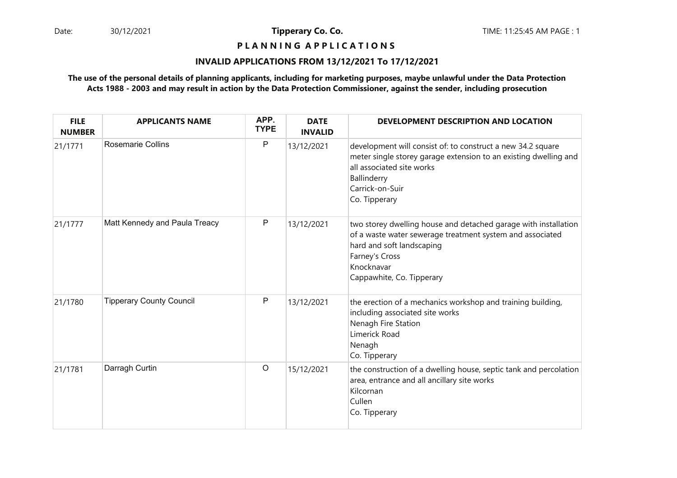**P L A N N I N G A P P L I C A T I O N S** 

#### **INVALID APPLICATIONS FROM 13/12/2021 To 17/12/2021**

| <b>FILE</b><br><b>NUMBER</b> | <b>APPLICANTS NAME</b>          | APP.<br><b>TYPE</b> | <b>DATE</b><br><b>INVALID</b> | DEVELOPMENT DESCRIPTION AND LOCATION                                                                                                                                                                                   |
|------------------------------|---------------------------------|---------------------|-------------------------------|------------------------------------------------------------------------------------------------------------------------------------------------------------------------------------------------------------------------|
| 21/1771                      | <b>Rosemarie Collins</b>        | P                   | 13/12/2021                    | development will consist of: to construct a new 34.2 square<br>meter single storey garage extension to an existing dwelling and<br>all associated site works<br>Ballinderry<br>Carrick-on-Suir<br>Co. Tipperary        |
| 21/1777                      | Matt Kennedy and Paula Treacy   | $\mathsf{P}$        | 13/12/2021                    | two storey dwelling house and detached garage with installation<br>of a waste water sewerage treatment system and associated<br>hard and soft landscaping<br>Farney's Cross<br>Knocknavar<br>Cappawhite, Co. Tipperary |
| 21/1780                      | <b>Tipperary County Council</b> | P                   | 13/12/2021                    | the erection of a mechanics workshop and training building,<br>including associated site works<br>Nenagh Fire Station<br>Limerick Road<br>Nenagh<br>Co. Tipperary                                                      |
| 21/1781                      | Darragh Curtin                  | $\circ$             | 15/12/2021                    | the construction of a dwelling house, septic tank and percolation<br>area, entrance and all ancillary site works<br>Kilcornan<br>Cullen<br>Co. Tipperary                                                               |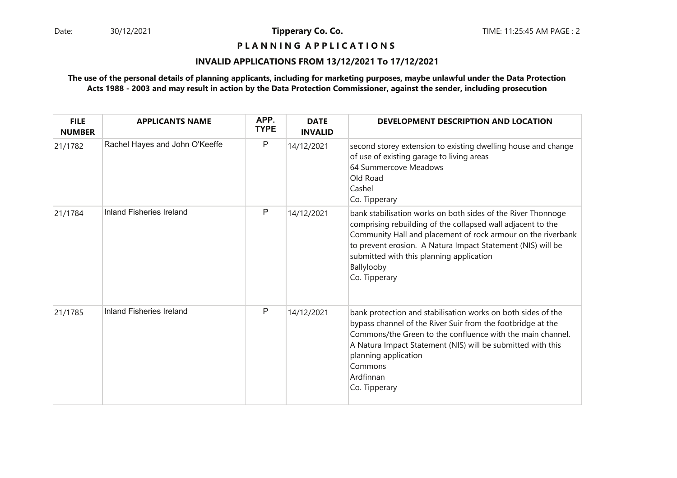**P L A N N I N G A P P L I C A T I O N S** 

#### **INVALID APPLICATIONS FROM 13/12/2021 To 17/12/2021**

| <b>FILE</b><br><b>NUMBER</b> | <b>APPLICANTS NAME</b>          | APP.<br><b>TYPE</b> | <b>DATE</b><br><b>INVALID</b> | DEVELOPMENT DESCRIPTION AND LOCATION                                                                                                                                                                                                                                                                                                  |
|------------------------------|---------------------------------|---------------------|-------------------------------|---------------------------------------------------------------------------------------------------------------------------------------------------------------------------------------------------------------------------------------------------------------------------------------------------------------------------------------|
| 21/1782                      | Rachel Hayes and John O'Keeffe  | $\mathsf{P}$        | 14/12/2021                    | second storey extension to existing dwelling house and change<br>of use of existing garage to living areas<br>64 Summercove Meadows<br>Old Road<br>Cashel<br>Co. Tipperary                                                                                                                                                            |
| 21/1784                      | <b>Inland Fisheries Ireland</b> | P                   | 14/12/2021                    | bank stabilisation works on both sides of the River Thonnoge<br>comprising rebuilding of the collapsed wall adjacent to the<br>Community Hall and placement of rock armour on the riverbank<br>to prevent erosion. A Natura Impact Statement (NIS) will be<br>submitted with this planning application<br>Ballylooby<br>Co. Tipperary |
| 21/1785                      | Inland Fisheries Ireland        | P                   | 14/12/2021                    | bank protection and stabilisation works on both sides of the<br>bypass channel of the River Suir from the footbridge at the<br>Commons/the Green to the confluence with the main channel.<br>A Natura Impact Statement (NIS) will be submitted with this<br>planning application<br>Commons<br>Ardfinnan<br>Co. Tipperary             |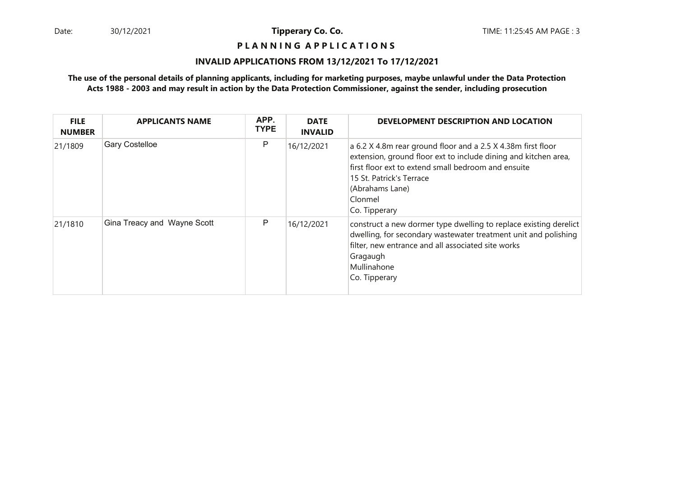**P L A N N I N G A P P L I C A T I O N S** 

#### **INVALID APPLICATIONS FROM 13/12/2021 To 17/12/2021**

| <b>FILE</b><br><b>NUMBER</b> | <b>APPLICANTS NAME</b>      | APP.<br><b>TYPE</b> | <b>DATE</b><br><b>INVALID</b> | DEVELOPMENT DESCRIPTION AND LOCATION                                                                                                                                                                                                                              |
|------------------------------|-----------------------------|---------------------|-------------------------------|-------------------------------------------------------------------------------------------------------------------------------------------------------------------------------------------------------------------------------------------------------------------|
| 21/1809                      | <b>Gary Costelloe</b>       | P                   | 16/12/2021                    | a 6.2 X 4.8m rear ground floor and a 2.5 X 4.38m first floor<br>extension, ground floor ext to include dining and kitchen area,<br>first floor ext to extend small bedroom and ensuite<br>15 St. Patrick's Terrace<br>(Abrahams Lane)<br>Clonmel<br>Co. Tipperary |
| 21/1810                      | Gina Treacy and Wayne Scott | P                   | 16/12/2021                    | construct a new dormer type dwelling to replace existing derelict<br>dwelling, for secondary wastewater treatment unit and polishing<br>filter, new entrance and all associated site works<br>Gragaugh<br>Mullinahone<br>Co. Tipperary                            |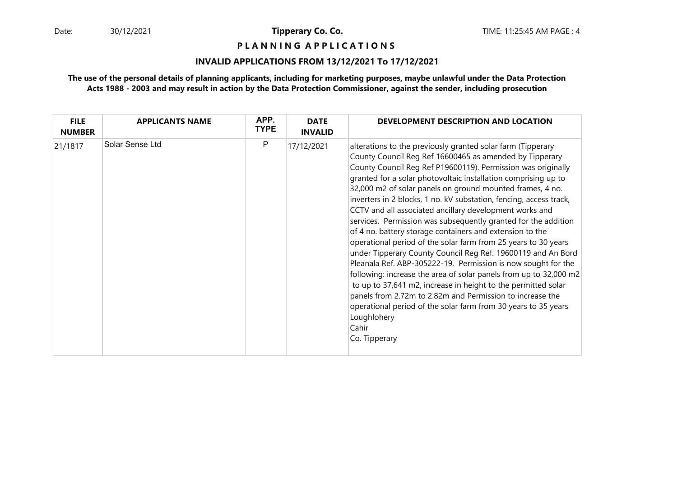**P L A N N I N G A P P L I C A T I O N S** 

#### **INVALID APPLICATIONS FROM 13/12/2021 To 17/12/2021**

| <b>FILE</b><br><b>NUMBER</b> | <b>APPLICANTS NAME</b> | APP.<br><b>TYPE</b> | <b>DATE</b><br><b>INVALID</b> | DEVELOPMENT DESCRIPTION AND LOCATION                                                                                                                                                                                                                                                                                                                                                                                                                                                                                                                                                                                                                                                                                                                                                                                                                                                                                                                                                                                                                                                                  |
|------------------------------|------------------------|---------------------|-------------------------------|-------------------------------------------------------------------------------------------------------------------------------------------------------------------------------------------------------------------------------------------------------------------------------------------------------------------------------------------------------------------------------------------------------------------------------------------------------------------------------------------------------------------------------------------------------------------------------------------------------------------------------------------------------------------------------------------------------------------------------------------------------------------------------------------------------------------------------------------------------------------------------------------------------------------------------------------------------------------------------------------------------------------------------------------------------------------------------------------------------|
| 21/1817                      | Solar Sense Ltd        | P                   | 17/12/2021                    | alterations to the previously granted solar farm (Tipperary<br>County Council Reg Ref 16600465 as amended by Tipperary<br>County Council Reg Ref P19600119). Permission was originally<br>granted for a solar photovoltaic installation comprising up to<br>32,000 m2 of solar panels on ground mounted frames, 4 no.<br>inverters in 2 blocks, 1 no. kV substation, fencing, access track,<br>CCTV and all associated ancillary development works and<br>services. Permission was subsequently granted for the addition<br>of 4 no. battery storage containers and extension to the<br>operational period of the solar farm from 25 years to 30 years<br>under Tipperary County Council Reg Ref. 19600119 and An Bord<br>Pleanala Ref. ABP-305222-19. Permission is now sought for the<br>following: increase the area of solar panels from up to 32,000 m2<br>to up to 37,641 m2, increase in height to the permitted solar<br>panels from 2.72m to 2.82m and Permission to increase the<br>operational period of the solar farm from 30 years to 35 years<br>Loughlohery<br>Cahir<br>Co. Tipperary |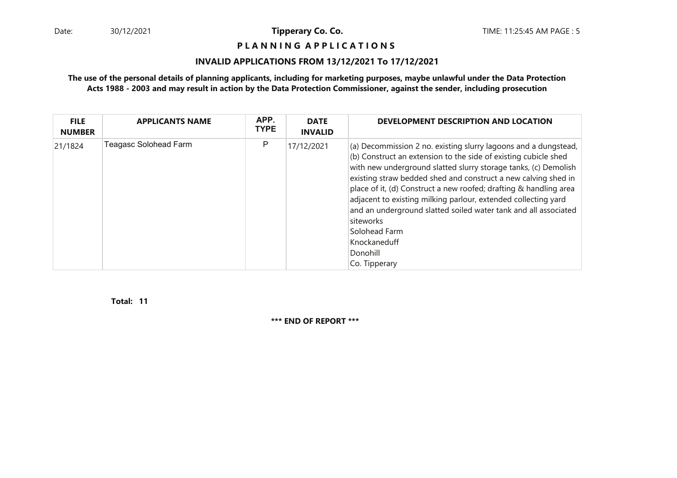**P L A N N I N G A P P L I C A T I O N S** 

### **INVALID APPLICATIONS FROM 13/12/2021 To 17/12/2021**

### **The use of the personal details of planning applicants, including for marketing purposes, maybe unlawful under the Data ProtectionActs 1988 - 2003 and may result in action by the Data Protection Commissioner, against the sender, including prosecution**

| <b>FILE</b><br><b>NUMBER</b> | <b>APPLICANTS NAME</b>       | APP.<br><b>TYPE</b> | <b>DATE</b><br><b>INVALID</b> | DEVELOPMENT DESCRIPTION AND LOCATION                                                                                                                                                                                                                                                                                                                                                                                                                                                                                                                         |
|------------------------------|------------------------------|---------------------|-------------------------------|--------------------------------------------------------------------------------------------------------------------------------------------------------------------------------------------------------------------------------------------------------------------------------------------------------------------------------------------------------------------------------------------------------------------------------------------------------------------------------------------------------------------------------------------------------------|
| 21/1824                      | <b>Teagasc Solohead Farm</b> | P                   | 17/12/2021                    | (a) Decommission 2 no. existing slurry lagoons and a dungstead,<br>(b) Construct an extension to the side of existing cubicle shed<br>with new underground slatted slurry storage tanks, (c) Demolish<br>existing straw bedded shed and construct a new calving shed in<br>place of it, (d) Construct a new roofed; drafting & handling area<br>adjacent to existing milking parlour, extended collecting yard<br>and an underground slatted soiled water tank and all associated<br>siteworks<br>Solohead Farm<br>Knockaneduff<br>Donohill<br>Co. Tipperary |

**11Total:**